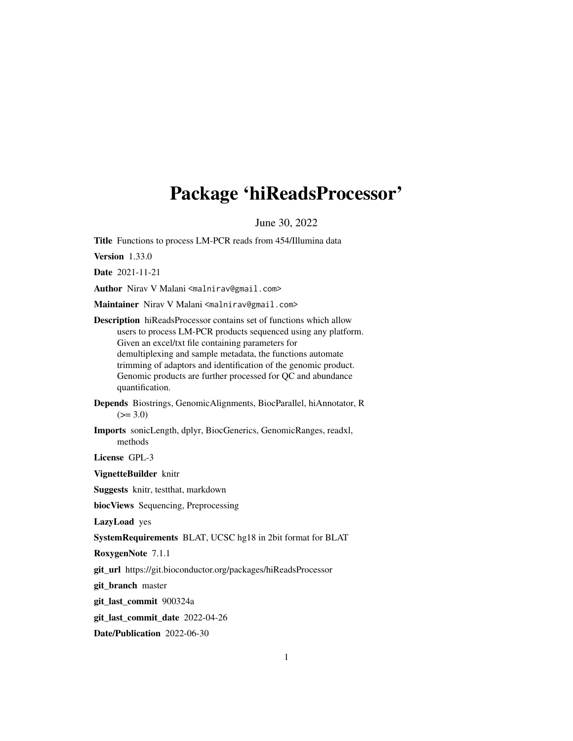# <span id="page-0-0"></span>Package 'hiReadsProcessor'

June 30, 2022

Title Functions to process LM-PCR reads from 454/Illumina data

Version 1.33.0

Date 2021-11-21

Author Nirav V Malani <malnirav@gmail.com>

Maintainer Nirav V Malani <malnirav@gmail.com>

Description hiReadsProcessor contains set of functions which allow users to process LM-PCR products sequenced using any platform. Given an excel/txt file containing parameters for demultiplexing and sample metadata, the functions automate trimming of adaptors and identification of the genomic product. Genomic products are further processed for QC and abundance quantification.

Depends Biostrings, GenomicAlignments, BiocParallel, hiAnnotator, R  $(>= 3.0)$ 

Imports sonicLength, dplyr, BiocGenerics, GenomicRanges, readxl, methods

License GPL-3

VignetteBuilder knitr

Suggests knitr, testthat, markdown

biocViews Sequencing, Preprocessing

LazyLoad yes

SystemRequirements BLAT, UCSC hg18 in 2bit format for BLAT

RoxygenNote 7.1.1

git\_url https://git.bioconductor.org/packages/hiReadsProcessor

git\_branch master

git\_last\_commit 900324a

git\_last\_commit\_date 2022-04-26

Date/Publication 2022-06-30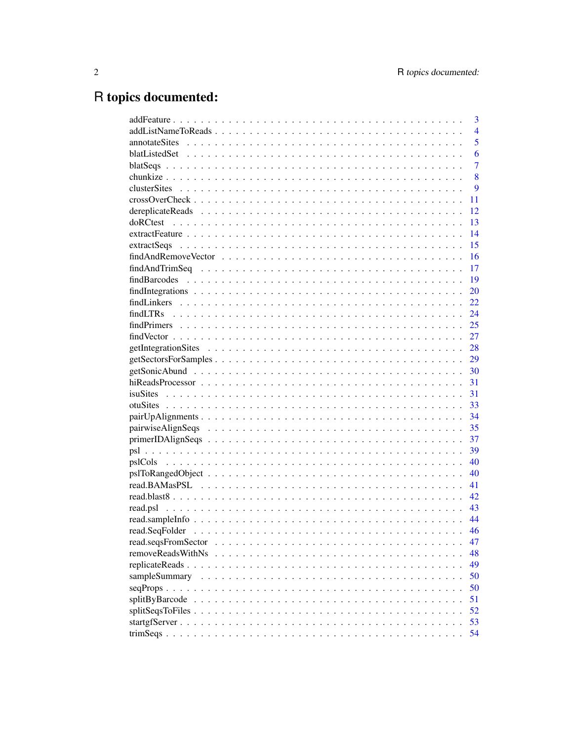# R topics documented:

| 3                       |
|-------------------------|
| $\overline{4}$          |
| 5                       |
| 6                       |
| $\overline{7}$          |
| 8                       |
| 9                       |
| 11                      |
| 12                      |
| 13                      |
| 14                      |
| 15                      |
| 16                      |
| 17                      |
| 19                      |
| 20                      |
| 22                      |
| 24                      |
| 25                      |
| 27                      |
| 28                      |
| 29                      |
|                         |
| 31                      |
| 31                      |
| 33                      |
| 34                      |
| 35                      |
| 37                      |
| 39                      |
| 40                      |
| 40                      |
| 41                      |
| 42                      |
| 43                      |
| 44                      |
| 46                      |
| 47                      |
| removeReadsWithNs<br>48 |
| 49                      |
| sampleSummary<br>50     |
| 50                      |
| 51                      |
| 52                      |
| 53                      |
| 54                      |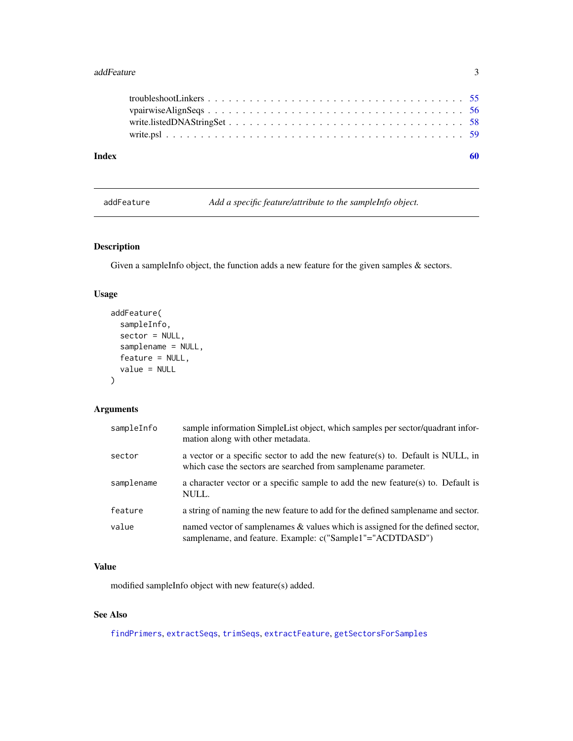#### <span id="page-2-0"></span>addFeature 3

| Index |  |
|-------|--|
|       |  |
|       |  |
|       |  |
|       |  |
|       |  |

<span id="page-2-1"></span>addFeature *Add a specific feature/attribute to the sampleInfo object.*

## Description

Given a sampleInfo object, the function adds a new feature for the given samples & sectors.

### Usage

```
addFeature(
  sampleInfo,
  sector = NULL,
  samplename = NULL,
  feature = NULL,
  value = NULL
\mathcal{E}
```
### Arguments

| sampleInfo | sample information SimpleList object, which samples per sector/quadrant infor-<br>mation along with other metadata.                                |
|------------|----------------------------------------------------------------------------------------------------------------------------------------------------|
| sector     | a vector or a specific sector to add the new feature(s) to. Default is NULL, in<br>which case the sectors are searched from sample name parameter. |
| samplename | a character vector or a specific sample to add the new feature(s) to. Default is<br>NULL.                                                          |
| feature    | a string of naming the new feature to add for the defined sample name and sector.                                                                  |
| value      | named vector of samplenames & values which is assigned for the defined sector,<br>samplename, and feature. Example: c("Sample1"="ACDTDASD")        |

### Value

modified sampleInfo object with new feature(s) added.

## See Also

[findPrimers](#page-24-1), [extractSeqs](#page-14-1), [trimSeqs](#page-53-1), [extractFeature](#page-13-1), [getSectorsForSamples](#page-28-1)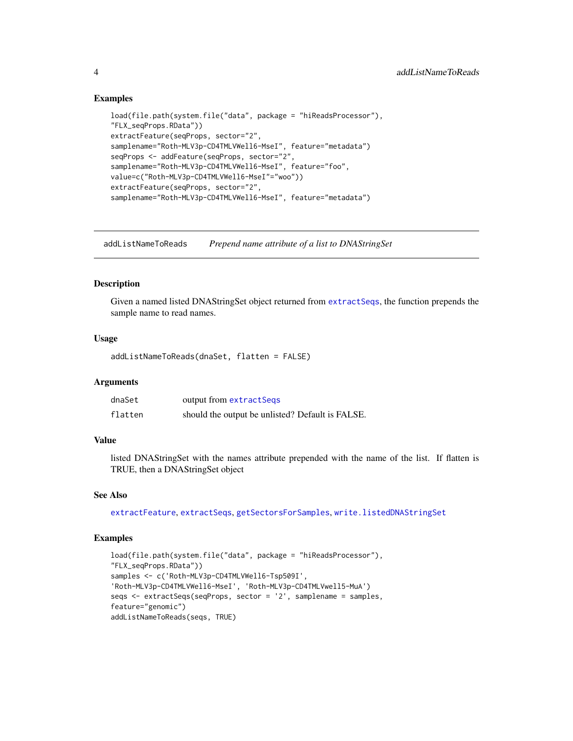### Examples

```
load(file.path(system.file("data", package = "hiReadsProcessor"),
"FLX_seqProps.RData"))
extractFeature(seqProps, sector="2",
samplename="Roth-MLV3p-CD4TMLVWell6-MseI", feature="metadata")
seqProps <- addFeature(seqProps, sector="2",
samplename="Roth-MLV3p-CD4TMLVWell6-MseI", feature="foo",
value=c("Roth-MLV3p-CD4TMLVWell6-MseI"="woo"))
extractFeature(seqProps, sector="2",
samplename="Roth-MLV3p-CD4TMLVWell6-MseI", feature="metadata")
```
<span id="page-3-1"></span>addListNameToReads *Prepend name attribute of a list to DNAStringSet*

#### **Description**

Given a named listed DNAStringSet object returned from [extractSeqs](#page-14-1), the function prepends the sample name to read names.

#### Usage

addListNameToReads(dnaSet, flatten = FALSE)

#### Arguments

| dnaSet  | output from extractSeqs                          |
|---------|--------------------------------------------------|
| flatten | should the output be unlisted? Default is FALSE. |

### Value

listed DNAStringSet with the names attribute prepended with the name of the list. If flatten is TRUE, then a DNAStringSet object

#### See Also

[extractFeature](#page-13-1), [extractSeqs](#page-14-1), [getSectorsForSamples](#page-28-1), [write.listedDNAStringSet](#page-57-1)

```
load(file.path(system.file("data", package = "hiReadsProcessor"),
"FLX_seqProps.RData"))
samples <- c('Roth-MLV3p-CD4TMLVWell6-Tsp509I',
'Roth-MLV3p-CD4TMLVWell6-MseI', 'Roth-MLV3p-CD4TMLVwell5-MuA')
seqs <- extractSeqs(seqProps, sector = '2', samplename = samples,
feature="genomic")
addListNameToReads(seqs, TRUE)
```
<span id="page-3-0"></span>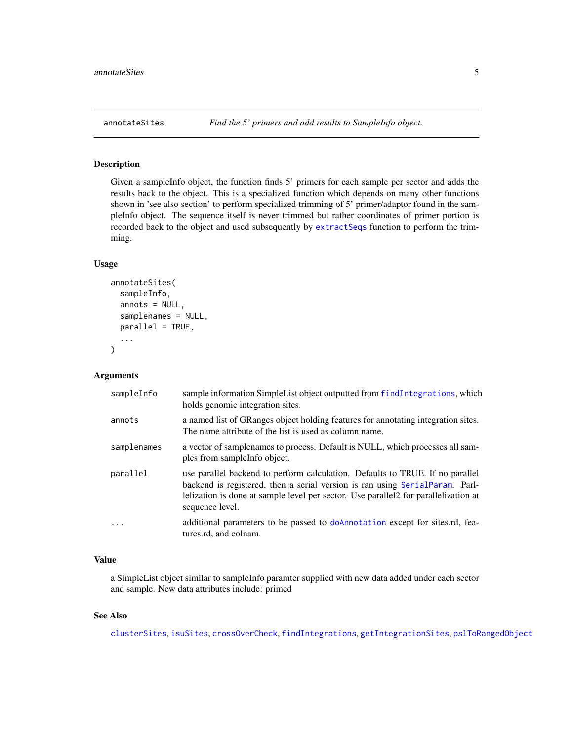<span id="page-4-1"></span><span id="page-4-0"></span>

Given a sampleInfo object, the function finds 5' primers for each sample per sector and adds the results back to the object. This is a specialized function which depends on many other functions shown in 'see also section' to perform specialized trimming of 5' primer/adaptor found in the sampleInfo object. The sequence itself is never trimmed but rather coordinates of primer portion is recorded back to the object and used subsequently by [extractSeqs](#page-14-1) function to perform the trimming.

#### Usage

```
annotateSites(
  sampleInfo,
  annots = NULL,
  samplenames = NULL,
  parallel = TRUE,
  ...
\mathcal{L}
```
### Arguments

| sampleInfo  | sample information SimpleList object outputted from findIntegrations, which<br>holds genomic integration sites.                                                                                                                                                          |
|-------------|--------------------------------------------------------------------------------------------------------------------------------------------------------------------------------------------------------------------------------------------------------------------------|
| annots      | a named list of GRanges object holding features for annotating integration sites.<br>The name attribute of the list is used as column name.                                                                                                                              |
| samplenames | a vector of samplenames to process. Default is NULL, which processes all sam-<br>ples from sample info object.                                                                                                                                                           |
| parallel    | use parallel backend to perform calculation. Defaults to TRUE. If no parallel<br>backend is registered, then a serial version is ran using SerialParam. Parl-<br>lelization is done at sample level per sector. Use parallel 2 for parallelization at<br>sequence level. |
| .           | additional parameters to be passed to doAnnotation except for sites.rd, fea-<br>tures.rd, and colnam.                                                                                                                                                                    |

### Value

a SimpleList object similar to sampleInfo paramter supplied with new data added under each sector and sample. New data attributes include: primed

#### See Also

[clusterSites](#page-8-1), [isuSites](#page-30-1), [crossOverCheck](#page-10-1), [findIntegrations](#page-19-1), [getIntegrationSites](#page-27-1), [pslToRangedObject](#page-39-1)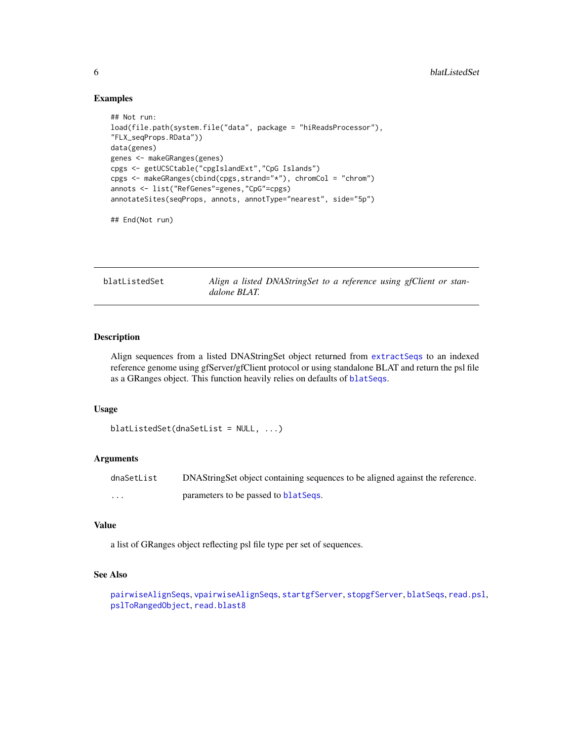#### Examples

```
## Not run:
load(file.path(system.file("data", package = "hiReadsProcessor"),
"FLX_seqProps.RData"))
data(genes)
genes <- makeGRanges(genes)
cpgs <- getUCSCtable("cpgIslandExt","CpG Islands")
cpgs <- makeGRanges(cbind(cpgs,strand="*"), chromCol = "chrom")
annots <- list("RefGenes"=genes,"CpG"=cpgs)
annotateSites(seqProps, annots, annotType="nearest", side="5p")
```
## End(Not run)

<span id="page-5-1"></span>blatListedSet *Align a listed DNAStringSet to a reference using gfClient or standalone BLAT.*

### Description

Align sequences from a listed DNAStringSet object returned from [extractSeqs](#page-14-1) to an indexed reference genome using gfServer/gfClient protocol or using standalone BLAT and return the psl file as a GRanges object. This function heavily relies on defaults of [blatSeqs](#page-6-1).

#### Usage

```
blatListedSet(dnaSetList = NULL, ...)
```
#### Arguments

| dnaSetList | DNAString Set object containing sequences to be aligned against the reference. |
|------------|--------------------------------------------------------------------------------|
| $\cdots$   | parameters to be passed to blat Seqs.                                          |

#### Value

a list of GRanges object reflecting psl file type per set of sequences.

#### See Also

```
pairwiseAlignSeqs, vpairwiseAlignSeqs, startgfServer, stopgfServer, blatSeqs, read.psl,
pslToRangedObject, read.blast8
```
<span id="page-5-0"></span>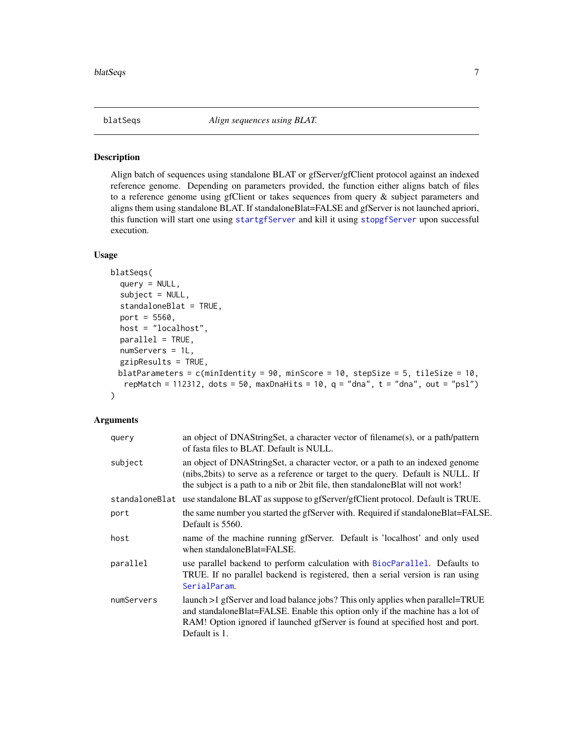<span id="page-6-1"></span><span id="page-6-0"></span>

Align batch of sequences using standalone BLAT or gfServer/gfClient protocol against an indexed reference genome. Depending on parameters provided, the function either aligns batch of files to a reference genome using gfClient or takes sequences from query & subject parameters and aligns them using standalone BLAT. If standaloneBlat=FALSE and gfServer is not launched apriori, this function will start one using [startgfServer](#page-52-1) and kill it using [stopgfServer](#page-52-2) upon successful execution.

### Usage

```
blatSeqs(
  query = NULL,
  subject = NULL,standaloneBlat = TRUE,
  port = 5560,host = "localhost",
  parallel = TRUE,
  numServers = 1L,
  gzipResults = TRUE,
 blatParameters = c(minIdentity = 90, minScore = 10, stepSize = 5, tileSize = 10,
   repMatch = 112312, dots = 50, maxDnaHits = 10, q = "dna", t = "dna", out = "psl"))
```

| query      | an object of DNAStringSet, a character vector of filename(s), or a path/pattern<br>of fasta files to BLAT. Default is NULL.                                                                                                                                       |
|------------|-------------------------------------------------------------------------------------------------------------------------------------------------------------------------------------------------------------------------------------------------------------------|
| subject    | an object of DNAStringSet, a character vector, or a path to an indexed genome<br>(nibs, 2bits) to serve as a reference or target to the query. Default is NULL. If<br>the subject is a path to a nib or 2bit file, then standalone Blat will not work!            |
|            | standaloneBlat use standalone BLAT as suppose to gfServer/gfClient protocol. Default is TRUE.                                                                                                                                                                     |
| port       | the same number you started the gfServer with. Required if standalone Blat=FALSE.<br>Default is 5560.                                                                                                                                                             |
| host       | name of the machine running gfServer. Default is 'localhost' and only used<br>when standaloneBlat=FALSE.                                                                                                                                                          |
| parallel   | use parallel backend to perform calculation with BiocParallel. Defaults to<br>TRUE. If no parallel backend is registered, then a serial version is ran using<br>SerialParam.                                                                                      |
| numServers | launch >1 gfServer and load balance jobs? This only applies when parallel=TRUE<br>and standaloneBlat=FALSE. Enable this option only if the machine has a lot of<br>RAM! Option ignored if launched gfServer is found at specified host and port.<br>Default is 1. |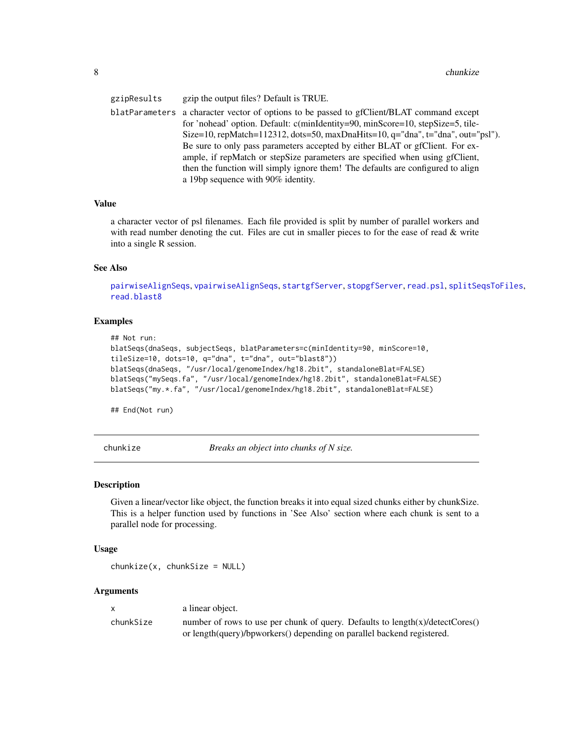<span id="page-7-0"></span>gzipResults gzip the output files? Default is TRUE. blatParameters a character vector of options to be passed to gfClient/BLAT command except for 'nohead' option. Default: c(minIdentity=90, minScore=10, stepSize=5, tile-Size=10, repMatch=112312, dots=50, maxDnaHits=10, q="dna", t="dna", out="psl"). Be sure to only pass parameters accepted by either BLAT or gfClient. For example, if repMatch or stepSize parameters are specified when using gfClient, then the function will simply ignore them! The defaults are configured to align a 19bp sequence with 90% identity.

#### Value

a character vector of psl filenames. Each file provided is split by number of parallel workers and with read number denoting the cut. Files are cut in smaller pieces to for the ease of read  $\&$  write into a single R session.

#### See Also

[pairwiseAlignSeqs](#page-34-1), [vpairwiseAlignSeqs](#page-55-1), [startgfServer](#page-52-1), [stopgfServer](#page-52-2), [read.psl](#page-42-1), [splitSeqsToFiles](#page-51-1), [read.blast8](#page-41-1)

#### Examples

```
## Not run:
blatSeqs(dnaSeqs, subjectSeqs, blatParameters=c(minIdentity=90, minScore=10,
tileSize=10, dots=10, q="dna", t="dna", out="blast8"))
blatSeqs(dnaSeqs, "/usr/local/genomeIndex/hg18.2bit", standaloneBlat=FALSE)
blatSeqs("mySeqs.fa", "/usr/local/genomeIndex/hg18.2bit", standaloneBlat=FALSE)
blatSeqs("my.*.fa", "/usr/local/genomeIndex/hg18.2bit", standaloneBlat=FALSE)
```
## End(Not run)

chunkize *Breaks an object into chunks of N size.*

#### **Description**

Given a linear/vector like object, the function breaks it into equal sized chunks either by chunkSize. This is a helper function used by functions in 'See Also' section where each chunk is sent to a parallel node for processing.

#### Usage

 $chunkize(x, chunkSize = NULL)$ 

| $\mathbf{x}$ | a linear object.                                                                    |
|--------------|-------------------------------------------------------------------------------------|
| chunkSize    | number of rows to use per chunk of query. Defaults to $length(x)/detectC$ ores $()$ |
|              | or length(query)/bpworkers() depending on parallel backend registered.              |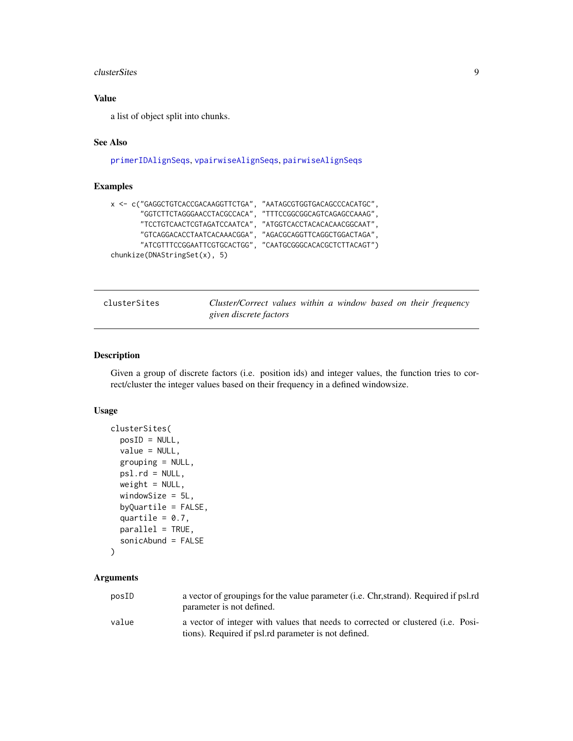#### <span id="page-8-0"></span>clusterSites 9

### Value

a list of object split into chunks.

### See Also

[primerIDAlignSeqs](#page-36-1), [vpairwiseAlignSeqs](#page-55-1), [pairwiseAlignSeqs](#page-34-1)

### Examples

```
x <- c("GAGGCTGTCACCGACAAGGTTCTGA", "AATAGCGTGGTGACAGCCCACATGC",
      "GGTCTTCTAGGGAACCTACGCCACA", "TTTCCGGCGGCAGTCAGAGCCAAAG",
      "TCCTGTCAACTCGTAGATCCAATCA", "ATGGTCACCTACACACAACGGCAAT",
      "GTCAGGACACCTAATCACAAACGGA", "AGACGCAGGTTCAGGCTGGACTAGA",
      "ATCGTTTCCGGAATTCGTGCACTGG", "CAATGCGGGCACACGCTCTTACAGT")
chunkize(DNAStringSet(x), 5)
```
<span id="page-8-1"></span>

|  | clusterSites |  |
|--|--------------|--|
|  |              |  |

Cluster/Correct values within a window based on their frequency *given discrete factors*

### Description

Given a group of discrete factors (i.e. position ids) and integer values, the function tries to correct/cluster the integer values based on their frequency in a defined windowsize.

#### Usage

```
clusterSites(
  posID = NULL,value = NULL,
  grouping = NULL,
 psl.rd = NULL,
  weight = NULL,windowSize = 5L,
  byQuartile = FALSE,
  quartile = 0.7,
  parallel = TRUE,
  sonicAbund = FALSE
```

```
\mathcal{L}
```

| posID | a vector of groupings for the value parameter ( <i>i.e.</i> Chr.strand). Required if psl.rd<br>parameter is not defined. |
|-------|--------------------------------------------------------------------------------------------------------------------------|
| value | a vector of integer with values that needs to corrected or clustered (i.e. Posi-                                         |
|       | tions). Required if psl.rd parameter is not defined.                                                                     |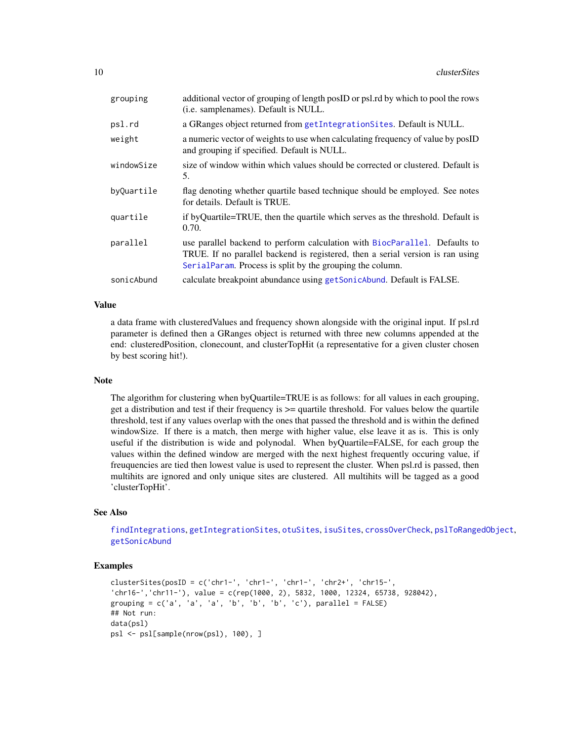<span id="page-9-0"></span>

| grouping   | additional vector of grouping of length posID or psl.rd by which to pool the rows<br>(i.e. samplenames). Default is NULL.                                                                                                 |
|------------|---------------------------------------------------------------------------------------------------------------------------------------------------------------------------------------------------------------------------|
| psl.rd     | a GRanges object returned from getIntegration Sites. Default is NULL.                                                                                                                                                     |
| weight     | a numeric vector of weights to use when calculating frequency of value by poslD<br>and grouping if specified. Default is NULL.                                                                                            |
| windowSize | size of window within which values should be corrected or clustered. Default is<br>5.                                                                                                                                     |
| byQuartile | flag denoting whether quartile based technique should be employed. See notes<br>for details. Default is TRUE.                                                                                                             |
| quartile   | if byQuartile=TRUE, then the quartile which serves as the threshold. Default is<br>0.70.                                                                                                                                  |
| parallel   | use parallel backend to perform calculation with BiocParallel. Defaults to<br>TRUE. If no parallel backend is registered, then a serial version is ran using<br>SerialParam. Process is split by the grouping the column. |
| sonicAbund | calculate breakpoint abundance using getSonicAbund. Default is FALSE.                                                                                                                                                     |

### Value

a data frame with clusteredValues and frequency shown alongside with the original input. If psl.rd parameter is defined then a GRanges object is returned with three new columns appended at the end: clusteredPosition, clonecount, and clusterTopHit (a representative for a given cluster chosen by best scoring hit!).

### Note

The algorithm for clustering when byQuartile=TRUE is as follows: for all values in each grouping, get a distribution and test if their frequency is >= quartile threshold. For values below the quartile threshold, test if any values overlap with the ones that passed the threshold and is within the defined windowSize. If there is a match, then merge with higher value, else leave it as is. This is only useful if the distribution is wide and polynodal. When byQuartile=FALSE, for each group the values within the defined window are merged with the next highest frequently occuring value, if freuquencies are tied then lowest value is used to represent the cluster. When psl.rd is passed, then multihits are ignored and only unique sites are clustered. All multihits will be tagged as a good 'clusterTopHit'.

#### See Also

[findIntegrations](#page-19-1), [getIntegrationSites](#page-27-1), [otuSites](#page-32-1), [isuSites](#page-30-1), [crossOverCheck](#page-10-1), [pslToRangedObject](#page-39-1), [getSonicAbund](#page-29-1)

```
clusterSites(posID = c('chr1-', 'chr1-', 'chr1-', 'chr2+', 'chr15-',
'chr16-','chr11-'), value = c(rep(1000, 2), 5832, 1000, 12324, 65738, 928042),
grouping = c('a', 'a', 'a', 'b', 'b', 'b', 'c'), parallel = FALSE)
## Not run:
data(psl)
psl <- psl[sample(nrow(psl), 100), ]
```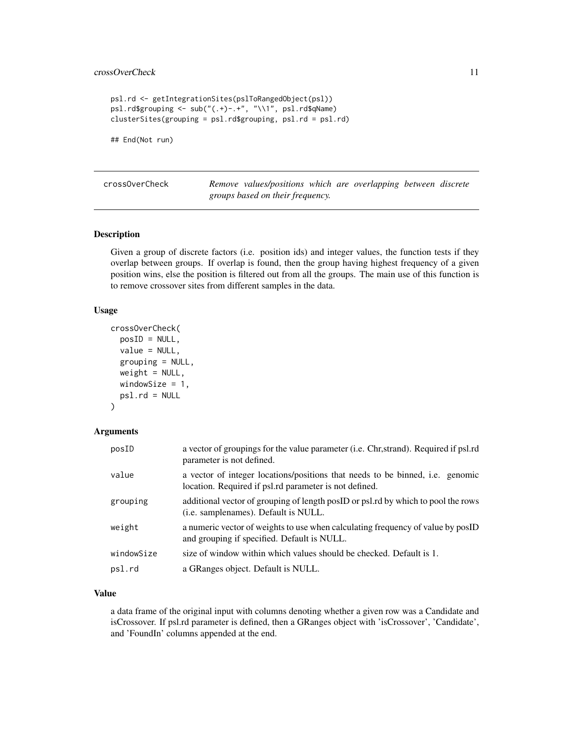### <span id="page-10-0"></span>crossOverCheck 11

```
psl.rd <- getIntegrationSites(pslToRangedObject(psl))
psl.rd$grouping <- sub("(.+)-.+", "\\1", psl.rd$qName)
clusterSites(grouping = psl.rd$grouping, psl.rd = psl.rd)
```
## End(Not run)

<span id="page-10-1"></span>

|  | cross0verCheck |  |
|--|----------------|--|
|--|----------------|--|

Remove values/positions which are overlapping between discrete *groups based on their frequency.*

### Description

Given a group of discrete factors (i.e. position ids) and integer values, the function tests if they overlap between groups. If overlap is found, then the group having highest frequency of a given position wins, else the position is filtered out from all the groups. The main use of this function is to remove crossover sites from different samples in the data.

#### Usage

```
crossOverCheck(
  posID = NULL,
  value = NULL,
  grouping = NULL,
  weight = NULL,windowSize = 1,
  psl.rd = NULL
```

```
)
```
### Arguments

| posID      | a vector of groupings for the value parameter (i.e. Chr, strand). Required if psl.rd<br>parameter is not defined.                       |
|------------|-----------------------------------------------------------------------------------------------------------------------------------------|
| value      | a vector of integer locations/positions that needs to be binned, i.e. genomic<br>location. Required if psl.rd parameter is not defined. |
| grouping   | additional vector of grouping of length postD or psl.rd by which to pool the rows<br>( <i>i.e.</i> samplenames). Default is NULL.       |
| weight     | a numeric vector of weights to use when calculating frequency of value by posID<br>and grouping if specified. Default is NULL.          |
| windowSize | size of window within which values should be checked. Default is 1.                                                                     |
| psl.rd     | a GRanges object. Default is NULL.                                                                                                      |
|            |                                                                                                                                         |

### Value

a data frame of the original input with columns denoting whether a given row was a Candidate and isCrossover. If psl.rd parameter is defined, then a GRanges object with 'isCrossover', 'Candidate', and 'FoundIn' columns appended at the end.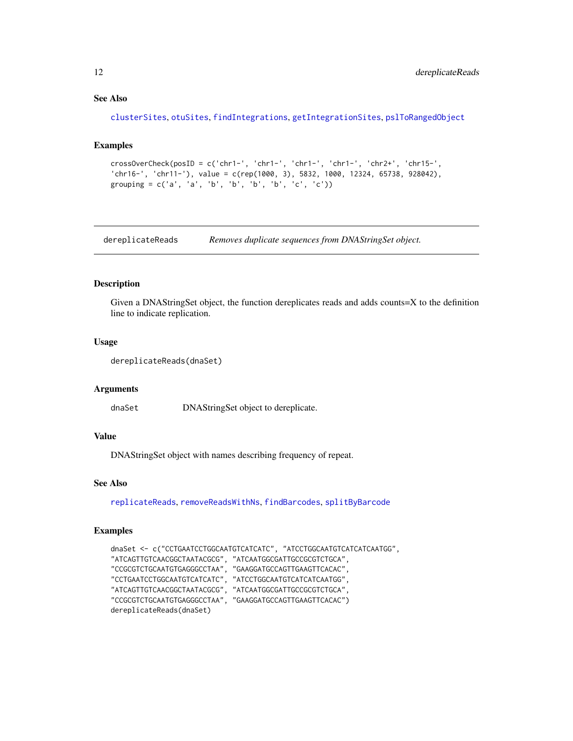### See Also

```
clusterSites, otuSites, findIntegrations, getIntegrationSites, pslToRangedObject
```
#### Examples

```
crossOverCheck(posID = c('chr1-', 'chr1-', 'chr1-', 'chr1-', 'chr2+', 'chr15-',
'chr16-', 'chr11-'), value = c(rep(1000, 3), 5832, 1000, 12324, 65738, 928042),
grouping = c('a', 'a', 'b', 'b', 'b', 'b', 'c', 'c'))
```
<span id="page-11-1"></span>dereplicateReads *Removes duplicate sequences from DNAStringSet object.*

### Description

Given a DNAStringSet object, the function dereplicates reads and adds counts=X to the definition line to indicate replication.

#### Usage

```
dereplicateReads(dnaSet)
```
#### Arguments

dnaSet DNAStringSet object to dereplicate.

### Value

DNAStringSet object with names describing frequency of repeat.

### See Also

[replicateReads](#page-48-1), [removeReadsWithNs](#page-47-1), [findBarcodes](#page-18-1), [splitByBarcode](#page-50-1)

```
dnaSet <- c("CCTGAATCCTGGCAATGTCATCATC", "ATCCTGGCAATGTCATCATCAATGG",
"ATCAGTTGTCAACGGCTAATACGCG", "ATCAATGGCGATTGCCGCGTCTGCA",
"CCGCGTCTGCAATGTGAGGGCCTAA", "GAAGGATGCCAGTTGAAGTTCACAC",
"CCTGAATCCTGGCAATGTCATCATC", "ATCCTGGCAATGTCATCATCAATGG",
"ATCAGTTGTCAACGGCTAATACGCG", "ATCAATGGCGATTGCCGCGTCTGCA",
"CCGCGTCTGCAATGTGAGGGCCTAA", "GAAGGATGCCAGTTGAAGTTCACAC")
dereplicateReads(dnaSet)
```
<span id="page-11-0"></span>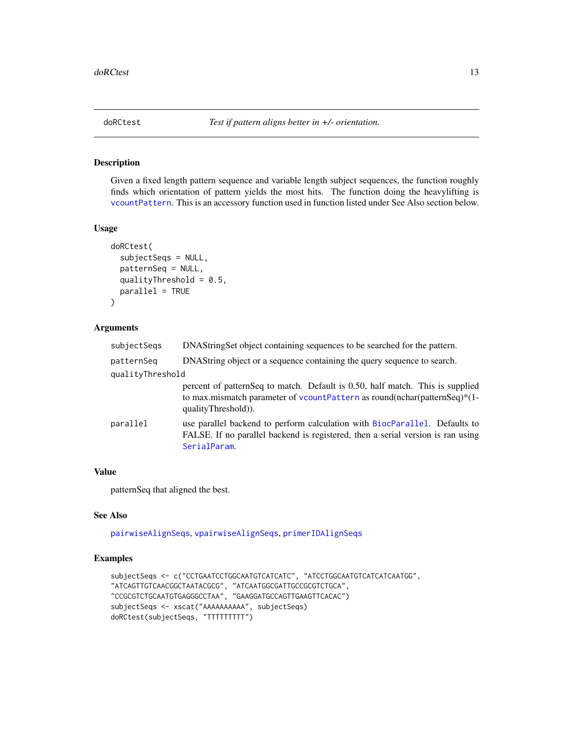<span id="page-12-1"></span><span id="page-12-0"></span>

Given a fixed length pattern sequence and variable length subject sequences, the function roughly finds which orientation of pattern yields the most hits. The function doing the heavylifting is [vcountPattern](#page-0-0). This is an accessory function used in function listed under See Also section below.

### Usage

```
doRCtest(
  subjectSeqs = NULL,
  patternSeq = NULL,
 qualityThreshold = 0.5,
 parallel = TRUE
)
```
### Arguments

| subjectSegs      | DNAStringSet object containing sequences to be searched for the pattern.                                                                                                            |
|------------------|-------------------------------------------------------------------------------------------------------------------------------------------------------------------------------------|
| patternSeq       | DNAString object or a sequence containing the query sequence to search.                                                                                                             |
| qualityThreshold |                                                                                                                                                                                     |
|                  | percent of pattern Seq to match. Default is 0.50, half match. This is supplied<br>to max.mismatch parameter of volunt Pattern as round(nchar(patternSeq)*(1-<br>qualityThreshold)). |
| parallel         | use parallel backend to perform calculation with BiocParallel. Defaults to<br>FALSE. If no parallel backend is registered, then a serial version is ran using<br>SerialParam.       |

#### Value

patternSeq that aligned the best.

#### See Also

[pairwiseAlignSeqs](#page-34-1), [vpairwiseAlignSeqs](#page-55-1), [primerIDAlignSeqs](#page-36-1)

```
subjectSeqs <- c("CCTGAATCCTGGCAATGTCATCATC", "ATCCTGGCAATGTCATCATCAATGG",
"ATCAGTTGTCAACGGCTAATACGCG", "ATCAATGGCGATTGCCGCGTCTGCA",
"CCGCGTCTGCAATGTGAGGGCCTAA", "GAAGGATGCCAGTTGAAGTTCACAC")
subjectSeqs <- xscat("AAAAAAAAAA", subjectSeqs)
doRCtest(subjectSeqs, "TTTTTTTTT")
```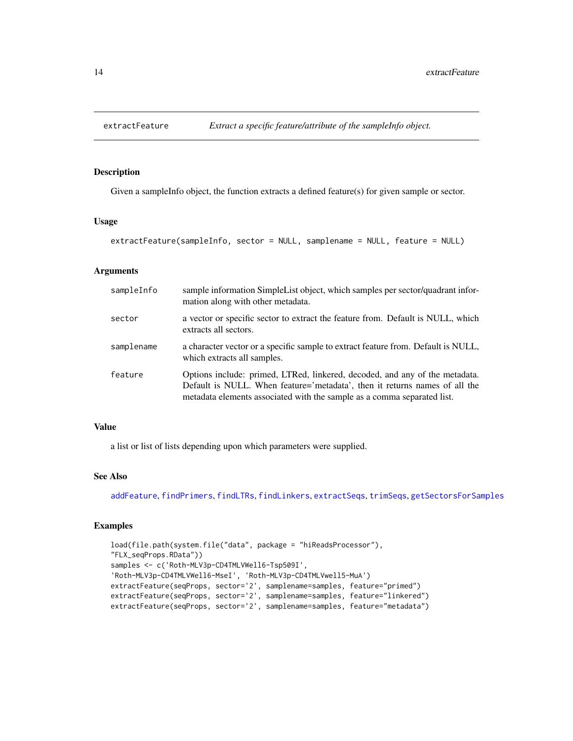<span id="page-13-1"></span><span id="page-13-0"></span>

Given a sampleInfo object, the function extracts a defined feature(s) for given sample or sector.

### Usage

```
extractFeature(sampleInfo, sector = NULL, samplename = NULL, feature = NULL)
```
#### Arguments

| sampleInfo | sample information SimpleList object, which samples per sector/quadrant infor-<br>mation along with other metadata.                                                                                                                  |
|------------|--------------------------------------------------------------------------------------------------------------------------------------------------------------------------------------------------------------------------------------|
| sector     | a vector or specific sector to extract the feature from. Default is NULL, which<br>extracts all sectors.                                                                                                                             |
| samplename | a character vector or a specific sample to extract feature from. Default is NULL,<br>which extracts all samples.                                                                                                                     |
| feature    | Options include: primed, LTRed, linkered, decoded, and any of the metadata.<br>Default is NULL. When feature='metadata', then it returns names of all the<br>metadata elements associated with the sample as a comma separated list. |

#### Value

a list or list of lists depending upon which parameters were supplied.

#### See Also

[addFeature](#page-2-1), [findPrimers](#page-24-1), [findLTRs](#page-23-1), [findLinkers](#page-21-1), [extractSeqs](#page-14-1), [trimSeqs](#page-53-1), [getSectorsForSamples](#page-28-1)

```
load(file.path(system.file("data", package = "hiReadsProcessor"),
"FLX_seqProps.RData"))
samples <- c('Roth-MLV3p-CD4TMLVWell6-Tsp509I',
'Roth-MLV3p-CD4TMLVWell6-MseI', 'Roth-MLV3p-CD4TMLVwell5-MuA')
extractFeature(seqProps, sector='2', samplename=samples, feature="primed")
extractFeature(seqProps, sector='2', samplename=samples, feature="linkered")
extractFeature(seqProps, sector='2', samplename=samples, feature="metadata")
```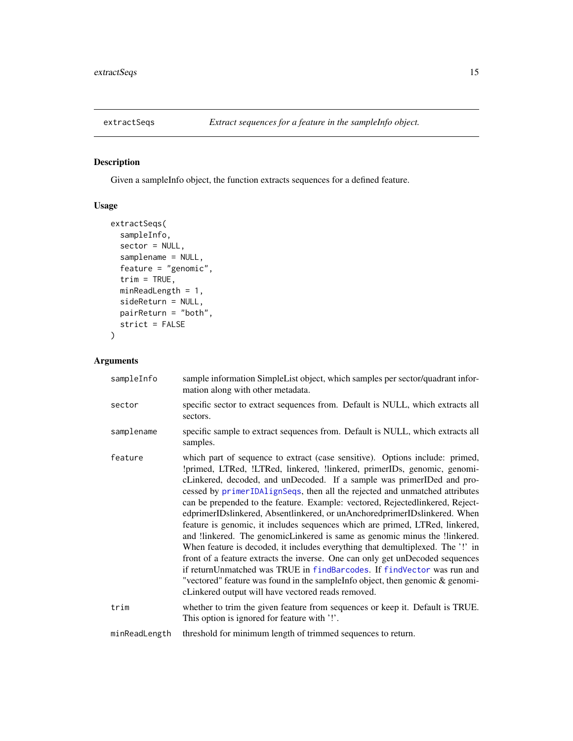<span id="page-14-1"></span><span id="page-14-0"></span>

Given a sampleInfo object, the function extracts sequences for a defined feature.

### Usage

```
extractSeqs(
 sampleInfo,
  sector = NULL,
  samplename = NULL,
  feature = "genomic",
  trim = TRUE,minReadLength = 1,
  sideReturn = NULL,
 pairReturn = "both",
 strict = FALSE
\mathcal{L}
```

| sampleInfo    | sample information SimpleList object, which samples per sector/quadrant infor-<br>mation along with other metadata.                                                                                                                                                                                                                                                                                                                                                                                                                                                                                                                                                                                                                                                                                                                                                                                                                                                                                                               |
|---------------|-----------------------------------------------------------------------------------------------------------------------------------------------------------------------------------------------------------------------------------------------------------------------------------------------------------------------------------------------------------------------------------------------------------------------------------------------------------------------------------------------------------------------------------------------------------------------------------------------------------------------------------------------------------------------------------------------------------------------------------------------------------------------------------------------------------------------------------------------------------------------------------------------------------------------------------------------------------------------------------------------------------------------------------|
| sector        | specific sector to extract sequences from. Default is NULL, which extracts all<br>sectors.                                                                                                                                                                                                                                                                                                                                                                                                                                                                                                                                                                                                                                                                                                                                                                                                                                                                                                                                        |
| samplename    | specific sample to extract sequences from. Default is NULL, which extracts all<br>samples.                                                                                                                                                                                                                                                                                                                                                                                                                                                                                                                                                                                                                                                                                                                                                                                                                                                                                                                                        |
| feature       | which part of sequence to extract (case sensitive). Options include: primed,<br>!primed, LTRed, !LTRed, linkered, !linkered, primerIDs, genomic, genomi-<br>cLinkered, decoded, and unDecoded. If a sample was primerIDed and pro-<br>cessed by primerIDAlignSeqs, then all the rejected and unmatched attributes<br>can be prepended to the feature. Example: vectored, Rejectedlinkered, Reject-<br>edprimerIDslinkered, Absentlinkered, or unAnchoredprimerIDslinkered. When<br>feature is genomic, it includes sequences which are primed, LTRed, linkered,<br>and llinkered. The genomicLinkered is same as genomic minus the llinkered.<br>When feature is decoded, it includes everything that demultiplexed. The '!' in<br>front of a feature extracts the inverse. One can only get unDecoded sequences<br>if returnUnmatched was TRUE in findBarcodes. If findVector was run and<br>"vectored" feature was found in the sampleInfo object, then genomic & genomi-<br>cLinkered output will have vectored reads removed. |
| trim          | whether to trim the given feature from sequences or keep it. Default is TRUE.<br>This option is ignored for feature with '!'.                                                                                                                                                                                                                                                                                                                                                                                                                                                                                                                                                                                                                                                                                                                                                                                                                                                                                                     |
| minReadLength | threshold for minimum length of trimmed sequences to return.                                                                                                                                                                                                                                                                                                                                                                                                                                                                                                                                                                                                                                                                                                                                                                                                                                                                                                                                                                      |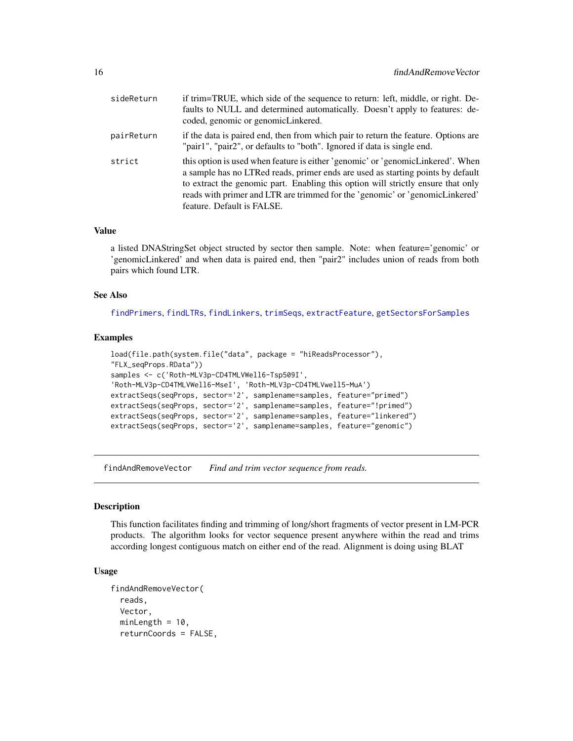<span id="page-15-0"></span>

| sideReturn | if trim=TRUE, which side of the sequence to return: left, middle, or right. De-<br>faults to NULL and determined automatically. Doesn't apply to features: de-<br>coded, genomic or genomicLinkered.                                                                                                                                                                 |
|------------|----------------------------------------------------------------------------------------------------------------------------------------------------------------------------------------------------------------------------------------------------------------------------------------------------------------------------------------------------------------------|
| pairReturn | if the data is paired end, then from which pair to return the feature. Options are<br>"pair1", "pair2", or defaults to "both". Ignored if data is single end.                                                                                                                                                                                                        |
| strict     | this option is used when feature is either 'genomic' or 'genomicLinkered'. When<br>a sample has no LTRed reads, primer ends are used as starting points by default<br>to extract the genomic part. Enabling this option will strictly ensure that only<br>reads with primer and LTR are trimmed for the 'genomic' or 'genomicLinkered'<br>feature. Default is FALSE. |

### Value

a listed DNAStringSet object structed by sector then sample. Note: when feature='genomic' or 'genomicLinkered' and when data is paired end, then "pair2" includes union of reads from both pairs which found LTR.

### See Also

[findPrimers](#page-24-1), [findLTRs](#page-23-1), [findLinkers](#page-21-1), [trimSeqs](#page-53-1), [extractFeature](#page-13-1), [getSectorsForSamples](#page-28-1)

#### Examples

```
load(file.path(system.file("data", package = "hiReadsProcessor"),
"FLX_seqProps.RData"))
samples <- c('Roth-MLV3p-CD4TMLVWell6-Tsp509I',
'Roth-MLV3p-CD4TMLVWell6-MseI', 'Roth-MLV3p-CD4TMLVwell5-MuA')
extractSeqs(seqProps, sector='2', samplename=samples, feature="primed")
extractSeqs(seqProps, sector='2', samplename=samples, feature="!primed")
extractSeqs(seqProps, sector='2', samplename=samples, feature="linkered")
extractSeqs(seqProps, sector='2', samplename=samples, feature="genomic")
```
<span id="page-15-1"></span>findAndRemoveVector *Find and trim vector sequence from reads.*

#### **Description**

This function facilitates finding and trimming of long/short fragments of vector present in LM-PCR products. The algorithm looks for vector sequence present anywhere within the read and trims according longest contiguous match on either end of the read. Alignment is doing using BLAT

### Usage

```
findAndRemoveVector(
  reads,
  Vector,
  minLength = 10,
  returnCoords = FALSE,
```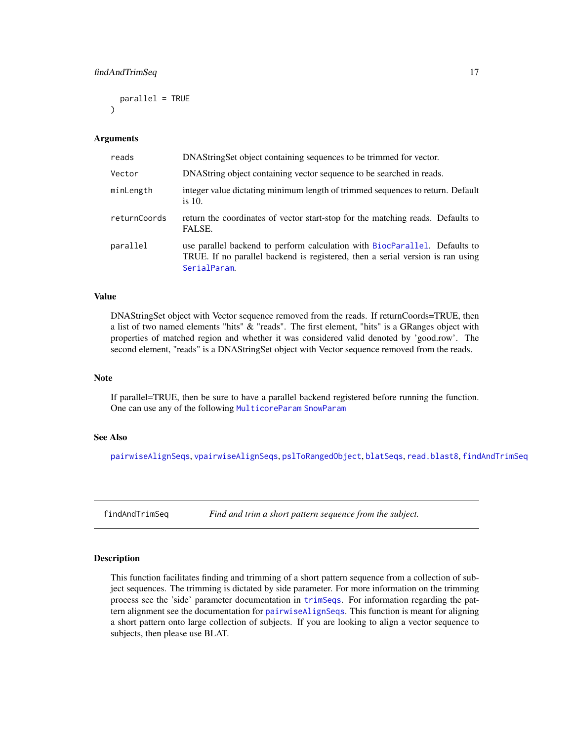<span id="page-16-0"></span>parallel = TRUE )

### Arguments

| DNAStringSet object containing sequences to be trimmed for vector.                                                                                                           |
|------------------------------------------------------------------------------------------------------------------------------------------------------------------------------|
| DNAString object containing vector sequence to be searched in reads.                                                                                                         |
| integer value dictating minimum length of trimmed sequences to return. Default<br>is 10.                                                                                     |
| return the coordinates of vector start-stop for the matching reads. Defaults to<br>FALSE.                                                                                    |
| use parallel backend to perform calculation with BiocParallel. Defaults to<br>TRUE. If no parallel backend is registered, then a serial version is ran using<br>SerialParam. |
|                                                                                                                                                                              |

#### Value

DNAStringSet object with Vector sequence removed from the reads. If returnCoords=TRUE, then a list of two named elements "hits" & "reads". The first element, "hits" is a GRanges object with properties of matched region and whether it was considered valid denoted by 'good.row'. The second element, "reads" is a DNAStringSet object with Vector sequence removed from the reads.

#### **Note**

If parallel=TRUE, then be sure to have a parallel backend registered before running the function. One can use any of the following [MulticoreParam](#page-0-0) [SnowParam](#page-0-0)

### See Also

[pairwiseAlignSeqs](#page-34-1), [vpairwiseAlignSeqs](#page-55-1), [pslToRangedObject](#page-39-1), [blatSeqs](#page-6-1), [read.blast8](#page-41-1), [findAndTrimSeq](#page-16-1)

<span id="page-16-1"></span>findAndTrimSeq *Find and trim a short pattern sequence from the subject.*

#### Description

This function facilitates finding and trimming of a short pattern sequence from a collection of subject sequences. The trimming is dictated by side parameter. For more information on the trimming process see the 'side' parameter documentation in [trimSeqs](#page-53-1). For information regarding the pattern alignment see the documentation for [pairwiseAlignSeqs](#page-34-1). This function is meant for aligning a short pattern onto large collection of subjects. If you are looking to align a vector sequence to subjects, then please use BLAT.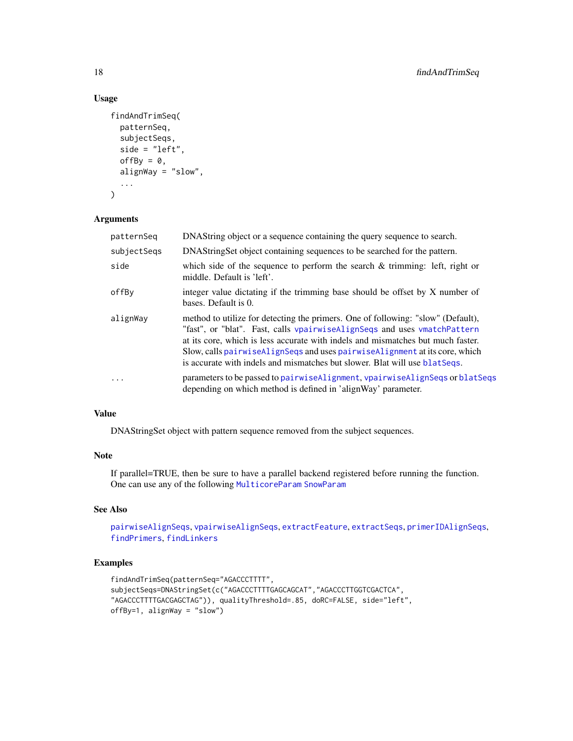### Usage

```
findAndTrimSeq(
 patternSeq,
  subjectSeqs,
  side = "left",
  offBy = 0,
  alignWay = "slow",
  ...
)
```
### Arguments

| patternSeq  | DNAString object or a sequence containing the query sequence to search.                                                                                                                                                                                                                                                                                                                                          |
|-------------|------------------------------------------------------------------------------------------------------------------------------------------------------------------------------------------------------------------------------------------------------------------------------------------------------------------------------------------------------------------------------------------------------------------|
| subjectSegs | DNAString Set object containing sequences to be searched for the pattern.                                                                                                                                                                                                                                                                                                                                        |
| side        | which side of the sequence to perform the search $\&$ trimming: left, right or<br>middle. Default is 'left'.                                                                                                                                                                                                                                                                                                     |
| offBy       | integer value dictating if the trimming base should be offset by X number of<br>bases. Default is 0.                                                                                                                                                                                                                                                                                                             |
| alignWay    | method to utilize for detecting the primers. One of following: "slow" (Default),<br>"fast", or "blat". Fast, calls vpairwiseAlignSeqs and uses vmatchPattern<br>at its core, which is less accurate with indels and mismatches but much faster.<br>Slow, calls pairwise Align Seqs and uses pairwise Alignment at its core, which<br>is accurate with indels and mismatches but slower. Blat will use blat Seqs. |
| $\cdot$     | parameters to be passed to pairwise Alignment, vpairwise Align Seqs or blat Seqs<br>depending on which method is defined in 'alignWay' parameter.                                                                                                                                                                                                                                                                |

### Value

DNAStringSet object with pattern sequence removed from the subject sequences.

### Note

If parallel=TRUE, then be sure to have a parallel backend registered before running the function. One can use any of the following [MulticoreParam](#page-0-0) [SnowParam](#page-0-0)

### See Also

```
pairwiseAlignSeqs, vpairwiseAlignSeqs, extractFeature, extractSeqs, primerIDAlignSeqs,
findPrimers, findLinkers
```

```
findAndTrimSeq(patternSeq="AGACCCTTTT",
subjectSeqs=DNAStringSet(c("AGACCCTTTTGAGCAGCAT","AGACCCTTGGTCGACTCA",
"AGACCCTTTTGACGAGCTAG")), qualityThreshold=.85, doRC=FALSE, side="left",
offBy=1, alignWay = "slow")
```
<span id="page-17-0"></span>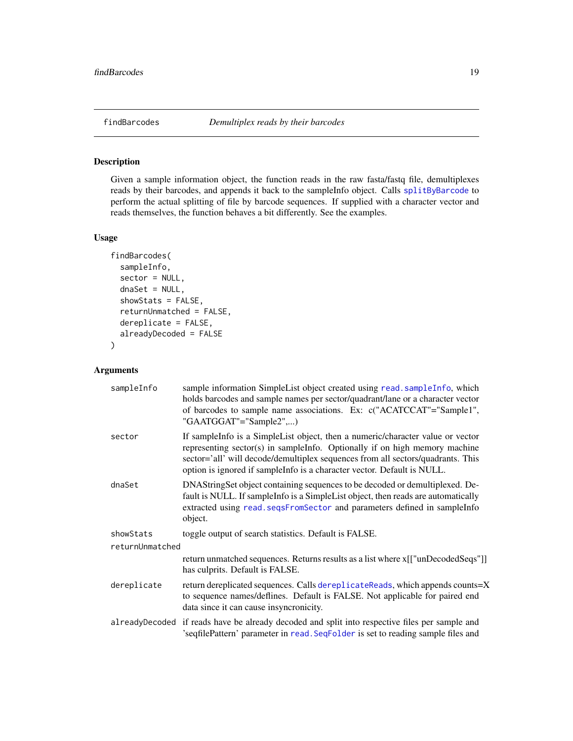<span id="page-18-1"></span><span id="page-18-0"></span>Given a sample information object, the function reads in the raw fasta/fastq file, demultiplexes reads by their barcodes, and appends it back to the sampleInfo object. Calls [splitByBarcode](#page-50-1) to perform the actual splitting of file by barcode sequences. If supplied with a character vector and reads themselves, the function behaves a bit differently. See the examples.

### Usage

```
findBarcodes(
  sampleInfo,
  sector = NULL,
  dnabet = NULL,showStats = FALSE,
  returnUnmatched = FALSE,
  dereplicate = FALSE,
  alreadyDecoded = FALSE
)
```

| sampleInfo      | sample information SimpleList object created using read. sampleInfo, which<br>holds barcodes and sample names per sector/quadrant/lane or a character vector<br>of barcodes to sample name associations. Ex: c("ACATCCAT"="Sample1",<br>"GAATGGAT"="Sample2",)                                                             |
|-----------------|----------------------------------------------------------------------------------------------------------------------------------------------------------------------------------------------------------------------------------------------------------------------------------------------------------------------------|
| sector          | If sampleInfo is a SimpleList object, then a numeric/character value or vector<br>representing sector(s) in sampleInfo. Optionally if on high memory machine<br>sector='all' will decode/demultiplex sequences from all sectors/quadrants. This<br>option is ignored if sampleInfo is a character vector. Default is NULL. |
| dnaSet          | DNAStringSet object containing sequences to be decoded or demultiplexed. De-<br>fault is NULL. If sampleInfo is a SimpleList object, then reads are automatically<br>extracted using read. seqsFromSector and parameters defined in sampleInfo<br>object.                                                                  |
| showStats       | toggle output of search statistics. Default is FALSE.                                                                                                                                                                                                                                                                      |
| returnUnmatched |                                                                                                                                                                                                                                                                                                                            |
|                 | return unmatched sequences. Returns results as a list where x[["unDecodedSeqs"]]<br>has culprits. Default is FALSE.                                                                                                                                                                                                        |
| dereplicate     | return dereplicated sequences. Calls dereplicateReads, which appends counts=X<br>to sequence names/deflines. Default is FALSE. Not applicable for paired end<br>data since it can cause insyncronicity.                                                                                                                    |
|                 | alreadyDecoded if reads have be already decoded and split into respective files per sample and<br>'seqfilePattern' parameter in read. SeqFolder is set to reading sample files and                                                                                                                                         |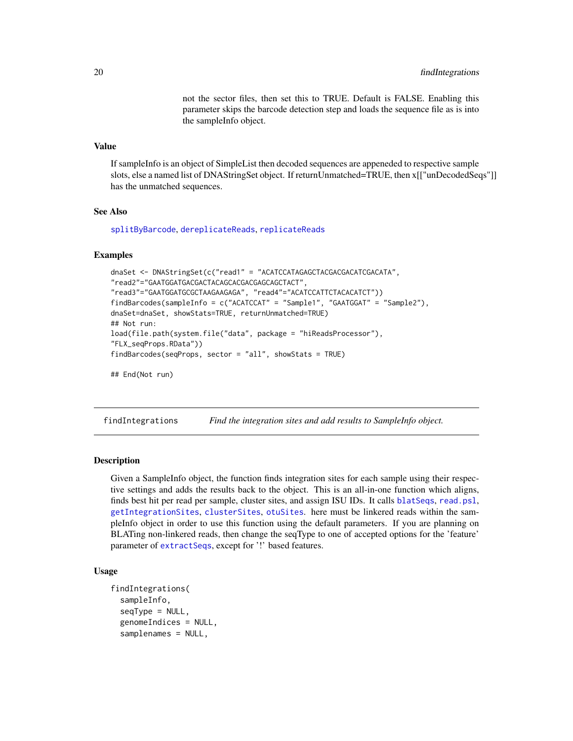not the sector files, then set this to TRUE. Default is FALSE. Enabling this parameter skips the barcode detection step and loads the sequence file as is into the sampleInfo object.

### <span id="page-19-0"></span>Value

If sampleInfo is an object of SimpleList then decoded sequences are appeneded to respective sample slots, else a named list of DNAStringSet object. If returnUnmatched=TRUE, then x[["unDecodedSeqs"]] has the unmatched sequences.

#### See Also

[splitByBarcode](#page-50-1), [dereplicateReads](#page-11-1), [replicateReads](#page-48-1)

#### Examples

```
dnaSet <- DNAStringSet(c("read1" = "ACATCCATAGAGCTACGACGACATCGACATA",
"read2"="GAATGGATGACGACTACAGCACGACGAGCAGCTACT",
"read3"="GAATGGATGCGCTAAGAAGAGA", "read4"="ACATCCATTCTACACATCT"))
findBarcodes(sampleInfo = c("ACATCCAT" = "Sample1", "GAATGGAT" = "Sample2"),
dnaSet=dnaSet, showStats=TRUE, returnUnmatched=TRUE)
## Not run:
load(file.path(system.file("data", package = "hiReadsProcessor"),
"FLX_seqProps.RData"))
findBarcodes(seqProps, sector = "all", showStats = TRUE)
```

```
## End(Not run)
```
<span id="page-19-1"></span>findIntegrations *Find the integration sites and add results to SampleInfo object.*

### Description

Given a SampleInfo object, the function finds integration sites for each sample using their respective settings and adds the results back to the object. This is an all-in-one function which aligns, finds best hit per read per sample, cluster sites, and assign ISU IDs. It calls [blatSeqs](#page-6-1), [read.psl](#page-42-1), [getIntegrationSites](#page-27-1), [clusterSites](#page-8-1), [otuSites](#page-32-1). here must be linkered reads within the sampleInfo object in order to use this function using the default parameters. If you are planning on BLATing non-linkered reads, then change the seqType to one of accepted options for the 'feature' parameter of [extractSeqs](#page-14-1), except for '!' based features.

### Usage

```
findIntegrations(
  sampleInfo,
  seqType = NULL,
  genomeIndices = NULL,
  samplenames = NULL,
```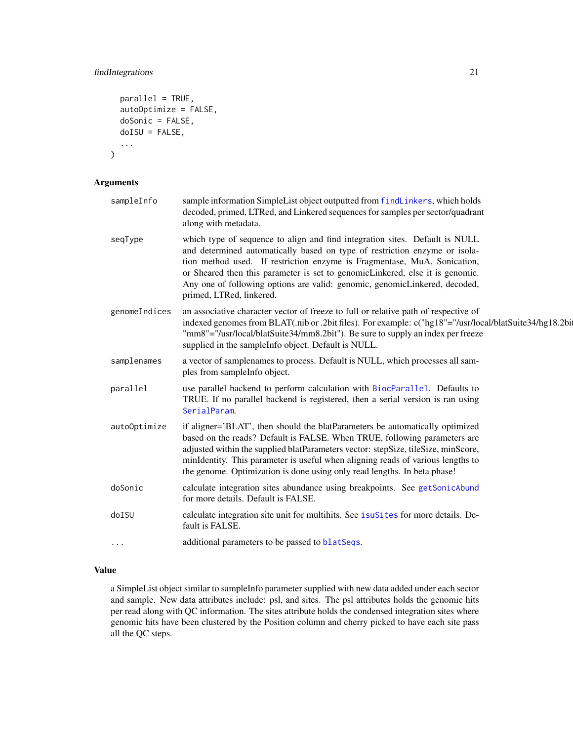### <span id="page-20-0"></span>findIntegrations 21

```
parallel = TRUE,
 autoOptimize = FALSE,
 doSonic = FALSE,
 doISU = FALSE,
  ...
)
```
### Arguments

| sampleInfo    | sample information SimpleList object outputted from findLinkers, which holds<br>decoded, primed, LTRed, and Linkered sequences for samples per sector/quadrant<br>along with metadata.                                                                                                                                                                                                                                           |
|---------------|----------------------------------------------------------------------------------------------------------------------------------------------------------------------------------------------------------------------------------------------------------------------------------------------------------------------------------------------------------------------------------------------------------------------------------|
| seqType       | which type of sequence to align and find integration sites. Default is NULL<br>and determined automatically based on type of restriction enzyme or isola-<br>tion method used. If restriction enzyme is Fragmentase, MuA, Sonication,<br>or Sheared then this parameter is set to genomicLinkered, else it is genomic.<br>Any one of following options are valid: genomic, genomicLinkered, decoded,<br>primed, LTRed, linkered. |
| genomeIndices | an associative character vector of freeze to full or relative path of respective of<br>indexed genomes from BLAT(.nib or .2bit files). For example: c("hg18"="/usr/local/blatSuite34/hg18.2bi<br>"mm8"="/usr/local/blatSuite34/mm8.2bit"). Be sure to supply an index per freeze<br>supplied in the sampleInfo object. Default is NULL.                                                                                          |
| samplenames   | a vector of samplenames to process. Default is NULL, which processes all sam-<br>ples from sampleInfo object.                                                                                                                                                                                                                                                                                                                    |
| parallel      | use parallel backend to perform calculation with BiocParallel. Defaults to<br>TRUE. If no parallel backend is registered, then a serial version is ran using<br>SerialParam.                                                                                                                                                                                                                                                     |
| autoOptimize  | if aligner='BLAT', then should the blatParameters be automatically optimized<br>based on the reads? Default is FALSE. When TRUE, following parameters are<br>adjusted within the supplied blatParameters vector: stepSize, tileSize, minScore,<br>minIdentity. This parameter is useful when aligning reads of various lengths to<br>the genome. Optimization is done using only read lengths. In beta phase!                    |
| doSonic       | calculate integration sites abundance using breakpoints. See getSonicAbund<br>for more details. Default is FALSE.                                                                                                                                                                                                                                                                                                                |
| doISU         | calculate integration site unit for multihits. See isuSites for more details. De-<br>fault is FALSE.                                                                                                                                                                                                                                                                                                                             |
| $\cdots$      | additional parameters to be passed to blatSeqs.                                                                                                                                                                                                                                                                                                                                                                                  |

### Value

a SimpleList object similar to sampleInfo parameter supplied with new data added under each sector and sample. New data attributes include: psl, and sites. The psl attributes holds the genomic hits per read along with QC information. The sites attribute holds the condensed integration sites where genomic hits have been clustered by the Position column and cherry picked to have each site pass all the QC steps.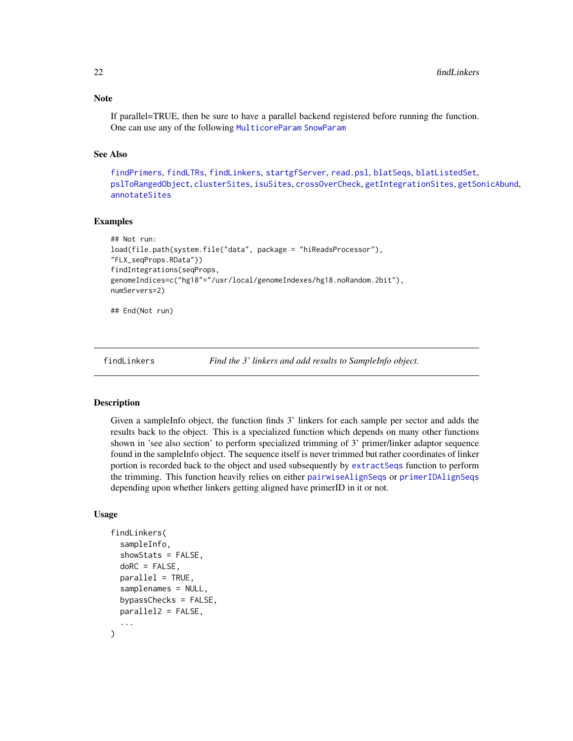### <span id="page-21-0"></span>Note

If parallel=TRUE, then be sure to have a parallel backend registered before running the function. One can use any of the following [MulticoreParam](#page-0-0) [SnowParam](#page-0-0)

### See Also

[findPrimers](#page-24-1), [findLTRs](#page-23-1), [findLinkers](#page-21-1), [startgfServer](#page-52-1), [read.psl](#page-42-1), [blatSeqs](#page-6-1), [blatListedSet](#page-5-1), [pslToRangedObject](#page-39-1), [clusterSites](#page-8-1), [isuSites](#page-30-1), [crossOverCheck](#page-10-1), [getIntegrationSites](#page-27-1), [getSonicAbund](#page-29-1), [annotateSites](#page-4-1)

### Examples

```
## Not run:
load(file.path(system.file("data", package = "hiReadsProcessor"),
"FLX_seqProps.RData"))
findIntegrations(seqProps,
genomeIndices=c("hg18"="/usr/local/genomeIndexes/hg18.noRandom.2bit"),
numServers=2)
```
## End(Not run)

<span id="page-21-1"></span>findLinkers *Find the 3' linkers and add results to SampleInfo object.*

#### **Description**

Given a sampleInfo object, the function finds 3' linkers for each sample per sector and adds the results back to the object. This is a specialized function which depends on many other functions shown in 'see also section' to perform specialized trimming of 3' primer/linker adaptor sequence found in the sampleInfo object. The sequence itself is never trimmed but rather coordinates of linker portion is recorded back to the object and used subsequently by [extractSeqs](#page-14-1) function to perform the trimming. This function heavily relies on either [pairwiseAlignSeqs](#page-34-1) or [primerIDAlignSeqs](#page-36-1) depending upon whether linkers getting aligned have primerID in it or not.

#### Usage

```
findLinkers(
  sampleInfo,
  showStats = FALSE,
  doRC = FALSE,
  parallel = TRUE,
  samplenames = NULL,
  bypassChecks = FALSE,
 parallel2 = FALSE,
  ...
)
```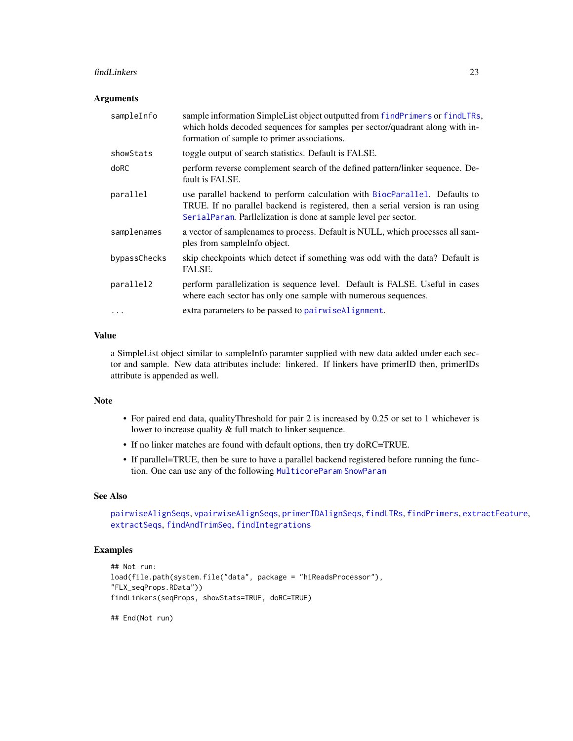#### <span id="page-22-0"></span>findLinkers 23

#### **Arguments**

| sampleInfo   | sample information SimpleList object outputted from findPrimers or findLTRs,<br>which holds decoded sequences for samples per sector/quadrant along with in-<br>formation of sample to primer associations.                     |
|--------------|---------------------------------------------------------------------------------------------------------------------------------------------------------------------------------------------------------------------------------|
| showStats    | toggle output of search statistics. Default is FALSE.                                                                                                                                                                           |
| doRC         | perform reverse complement search of the defined pattern/linker sequence. De-<br>fault is FALSE.                                                                                                                                |
| parallel     | use parallel backend to perform calculation with BiocParallel. Defaults to<br>TRUE. If no parallel backend is registered, then a serial version is ran using<br>SerialParam. Parllelization is done at sample level per sector. |
| samplenames  | a vector of samplenames to process. Default is NULL, which processes all sam-<br>ples from sample info object.                                                                                                                  |
| bypassChecks | skip checkpoints which detect if something was odd with the data? Default is<br>FALSE.                                                                                                                                          |
| parallel2    | perform parallelization is sequence level. Default is FALSE. Useful in cases<br>where each sector has only one sample with numerous sequences.                                                                                  |
|              | extra parameters to be passed to pairwise Alignment.                                                                                                                                                                            |
|              |                                                                                                                                                                                                                                 |

#### Value

a SimpleList object similar to sampleInfo paramter supplied with new data added under each sector and sample. New data attributes include: linkered. If linkers have primerID then, primerIDs attribute is appended as well.

### Note

- For paired end data, qualityThreshold for pair 2 is increased by 0.25 or set to 1 whichever is lower to increase quality & full match to linker sequence.
- If no linker matches are found with default options, then try doRC=TRUE.
- If parallel=TRUE, then be sure to have a parallel backend registered before running the function. One can use any of the following [MulticoreParam](#page-0-0) [SnowParam](#page-0-0)

#### See Also

```
pairwiseAlignSeqs, vpairwiseAlignSeqs, primerIDAlignSeqs, findLTRs, findPrimers, extractFeature,
extractSeqs, findAndTrimSeq, findIntegrations
```
### Examples

```
## Not run:
load(file.path(system.file("data", package = "hiReadsProcessor"),
"FLX_seqProps.RData"))
findLinkers(seqProps, showStats=TRUE, doRC=TRUE)
```
## End(Not run)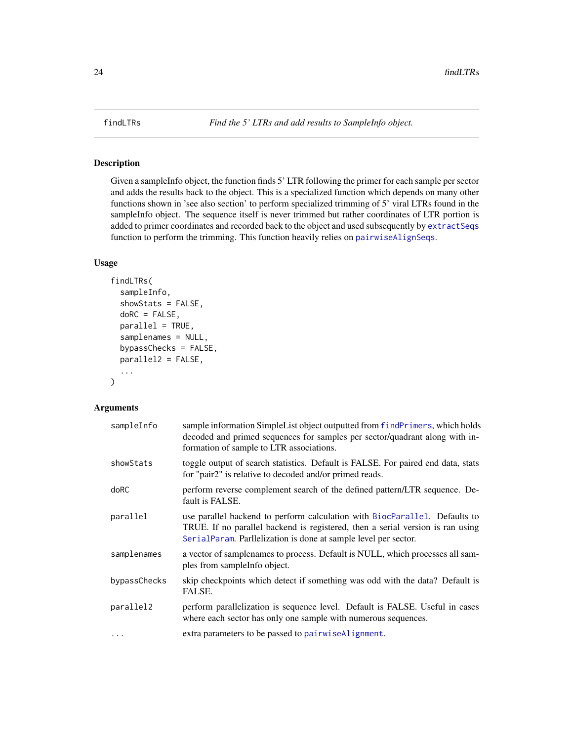<span id="page-23-1"></span><span id="page-23-0"></span>

Given a sampleInfo object, the function finds 5' LTR following the primer for each sample per sector and adds the results back to the object. This is a specialized function which depends on many other functions shown in 'see also section' to perform specialized trimming of 5' viral LTRs found in the sampleInfo object. The sequence itself is never trimmed but rather coordinates of LTR portion is added to primer coordinates and recorded back to the object and used subsequently by [extractSeqs](#page-14-1) function to perform the trimming. This function heavily relies on [pairwiseAlignSeqs](#page-34-1).

### Usage

```
findLTRs(
  sampleInfo,
  showStats = FALSE,
  doRC = FALSE,
  parallel = TRUE,
  samplenames = NULL,
  bypassChecks = FALSE,
  parallel2 = FALSE,
  ...
\mathcal{E}
```

| sampleInfo   | sample information SimpleList object outputted from findPrimers, which holds<br>decoded and primed sequences for samples per sector/quadrant along with in-<br>formation of sample to LTR associations.                         |
|--------------|---------------------------------------------------------------------------------------------------------------------------------------------------------------------------------------------------------------------------------|
| showStats    | toggle output of search statistics. Default is FALSE. For paired end data, stats<br>for "pair2" is relative to decoded and/or primed reads.                                                                                     |
| doRC         | perform reverse complement search of the defined pattern/LTR sequence. De-<br>fault is FALSE.                                                                                                                                   |
| parallel     | use parallel backend to perform calculation with BiocParallel. Defaults to<br>TRUE. If no parallel backend is registered, then a serial version is ran using<br>SerialParam. Parllelization is done at sample level per sector. |
| samplenames  | a vector of samplenames to process. Default is NULL, which processes all sam-<br>ples from sample info object.                                                                                                                  |
| bypassChecks | skip checkpoints which detect if something was odd with the data? Default is<br>FALSE.                                                                                                                                          |
| parallel2    | perform parallelization is sequence level. Default is FALSE. Useful in cases<br>where each sector has only one sample with numerous sequences.                                                                                  |
| $\cdots$     | extra parameters to be passed to pairwise Alignment.                                                                                                                                                                            |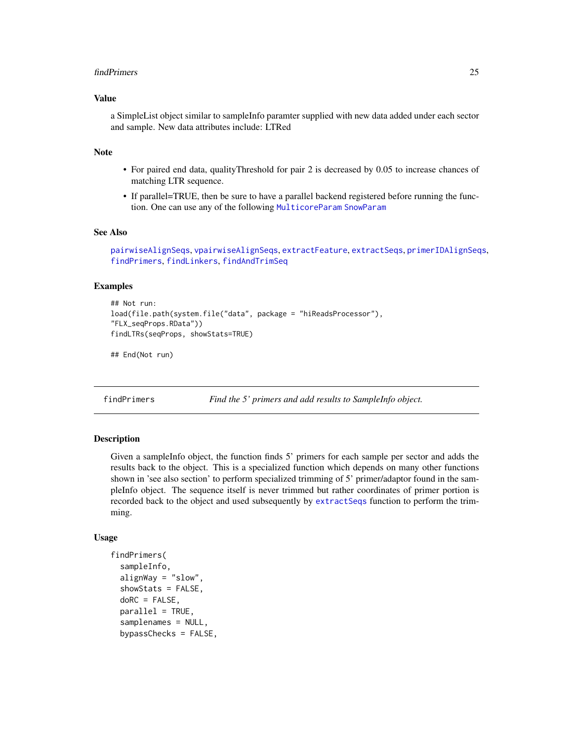#### <span id="page-24-0"></span>findPrimers 25

### Value

a SimpleList object similar to sampleInfo paramter supplied with new data added under each sector and sample. New data attributes include: LTRed

### Note

- For paired end data, qualityThreshold for pair 2 is decreased by 0.05 to increase chances of matching LTR sequence.
- If parallel=TRUE, then be sure to have a parallel backend registered before running the function. One can use any of the following [MulticoreParam](#page-0-0) [SnowParam](#page-0-0)

#### See Also

```
pairwiseAlignSeqs, vpairwiseAlignSeqs, extractFeature, extractSeqs, primerIDAlignSeqs,
findPrimers, findLinkers, findAndTrimSeq
```
#### Examples

```
## Not run:
load(file.path(system.file("data", package = "hiReadsProcessor"),
"FLX_seqProps.RData"))
findLTRs(seqProps, showStats=TRUE)
```
## End(Not run)

<span id="page-24-1"></span>findPrimers *Find the 5' primers and add results to SampleInfo object.*

### Description

Given a sampleInfo object, the function finds 5' primers for each sample per sector and adds the results back to the object. This is a specialized function which depends on many other functions shown in 'see also section' to perform specialized trimming of 5' primer/adaptor found in the sampleInfo object. The sequence itself is never trimmed but rather coordinates of primer portion is recorded back to the object and used subsequently by [extractSeqs](#page-14-1) function to perform the trimming.

#### Usage

```
findPrimers(
  sampleInfo,
  alignway = "slow".showStats = FALSE,
  doRC = FALSE,
  parallel = TRUE,
  samplenames = NULL,
  bypassChecks = FALSE,
```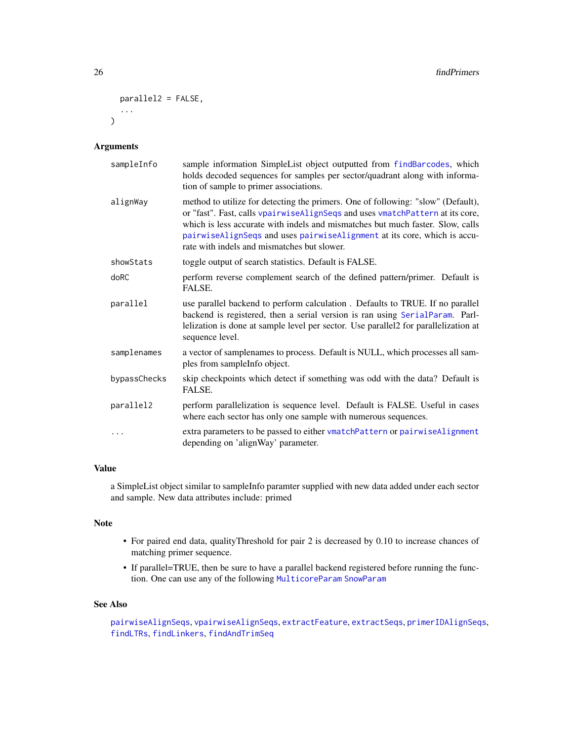```
parallel2 = FALSE,
   ...
\mathcal{L}
```
### Arguments

| sampleInfo   | sample information SimpleList object outputted from findBarcodes, which<br>holds decoded sequences for samples per sector/quadrant along with informa-<br>tion of sample to primer associations.                                                                                                                                                                               |
|--------------|--------------------------------------------------------------------------------------------------------------------------------------------------------------------------------------------------------------------------------------------------------------------------------------------------------------------------------------------------------------------------------|
| alignWay     | method to utilize for detecting the primers. One of following: "slow" (Default),<br>or "fast". Fast, calls vpairwiseAlignSeqs and uses vmatchPattern at its core,<br>which is less accurate with indels and mismatches but much faster. Slow, calls<br>pairwiseAlignSeqs and uses pairwiseAlignment at its core, which is accu-<br>rate with indels and mismatches but slower. |
| showStats    | toggle output of search statistics. Default is FALSE.                                                                                                                                                                                                                                                                                                                          |
| doRC         | perform reverse complement search of the defined pattern/primer. Default is<br>FALSE.                                                                                                                                                                                                                                                                                          |
| parallel     | use parallel backend to perform calculation. Defaults to TRUE. If no parallel<br>backend is registered, then a serial version is ran using SerialParam. Parl-<br>lelization is done at sample level per sector. Use parallel2 for parallelization at<br>sequence level.                                                                                                        |
| samplenames  | a vector of samplenames to process. Default is NULL, which processes all sam-<br>ples from sampleInfo object.                                                                                                                                                                                                                                                                  |
| bypassChecks | skip checkpoints which detect if something was odd with the data? Default is<br>FALSE.                                                                                                                                                                                                                                                                                         |
| parallel2    | perform parallelization is sequence level. Default is FALSE. Useful in cases<br>where each sector has only one sample with numerous sequences.                                                                                                                                                                                                                                 |
| .            | extra parameters to be passed to either vmatchPattern or pairwiseAlignment<br>depending on 'alignWay' parameter.                                                                                                                                                                                                                                                               |

### Value

a SimpleList object similar to sampleInfo paramter supplied with new data added under each sector and sample. New data attributes include: primed

### Note

- For paired end data, qualityThreshold for pair 2 is decreased by 0.10 to increase chances of matching primer sequence.
- If parallel=TRUE, then be sure to have a parallel backend registered before running the function. One can use any of the following [MulticoreParam](#page-0-0) [SnowParam](#page-0-0)

### See Also

```
pairwiseAlignSeqs, vpairwiseAlignSeqs, extractFeature, extractSeqs, primerIDAlignSeqs,
findLTRs, findLinkers, findAndTrimSeq
```
<span id="page-25-0"></span>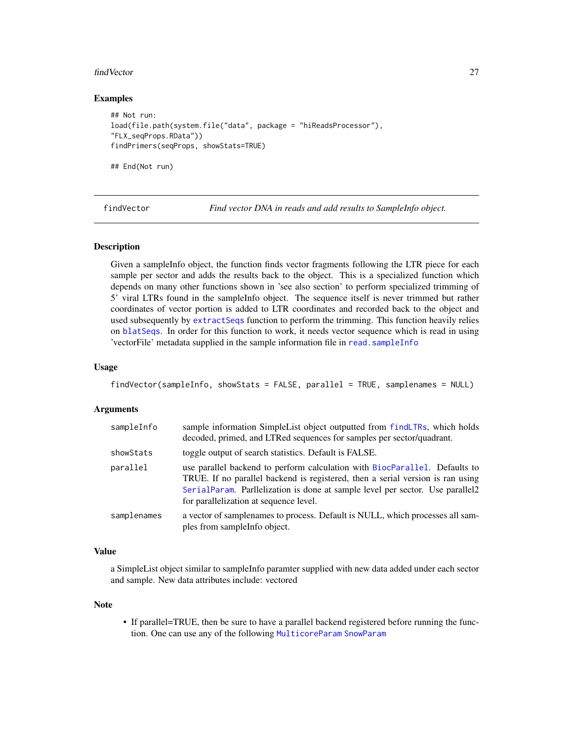#### <span id="page-26-0"></span>findVector 27

#### Examples

```
## Not run:
load(file.path(system.file("data", package = "hiReadsProcessor"),
"FLX_seqProps.RData"))
findPrimers(seqProps, showStats=TRUE)
```
## End(Not run)

<span id="page-26-1"></span>findVector *Find vector DNA in reads and add results to SampleInfo object.*

#### Description

Given a sampleInfo object, the function finds vector fragments following the LTR piece for each sample per sector and adds the results back to the object. This is a specialized function which depends on many other functions shown in 'see also section' to perform specialized trimming of 5' viral LTRs found in the sampleInfo object. The sequence itself is never trimmed but rather coordinates of vector portion is added to LTR coordinates and recorded back to the object and used subsequently by [extractSeqs](#page-14-1) function to perform the trimming. This function heavily relies on [blatSeqs](#page-6-1). In order for this function to work, it needs vector sequence which is read in using 'vectorFile' metadata supplied in the sample information file in [read.sampleInfo](#page-43-1)

#### Usage

```
findVector(sampleInfo, showStats = FALSE, parallel = TRUE, samplenames = NULL)
```
#### Arguments

| sampleInfo  | sample information SimpleList object outputted from findLTRs, which holds<br>decoded, primed, and LTRed sequences for samples per sector/quadrant.                                                                                                                                      |  |
|-------------|-----------------------------------------------------------------------------------------------------------------------------------------------------------------------------------------------------------------------------------------------------------------------------------------|--|
| showStats   | toggle output of search statistics. Default is FALSE.                                                                                                                                                                                                                                   |  |
| parallel    | use parallel backend to perform calculation with BiocParallel. Defaults to<br>TRUE. If no parallel backend is registered, then a serial version is ran using<br>SerialParam. Parllelization is done at sample level per sector. Use parallel2<br>for parallelization at sequence level. |  |
| samplenames | a vector of samplenames to process. Default is NULL, which processes all sam-<br>ples from sampleInfo object.                                                                                                                                                                           |  |

### Value

a SimpleList object similar to sampleInfo paramter supplied with new data added under each sector and sample. New data attributes include: vectored

#### Note

• If parallel=TRUE, then be sure to have a parallel backend registered before running the function. One can use any of the following [MulticoreParam](#page-0-0) [SnowParam](#page-0-0)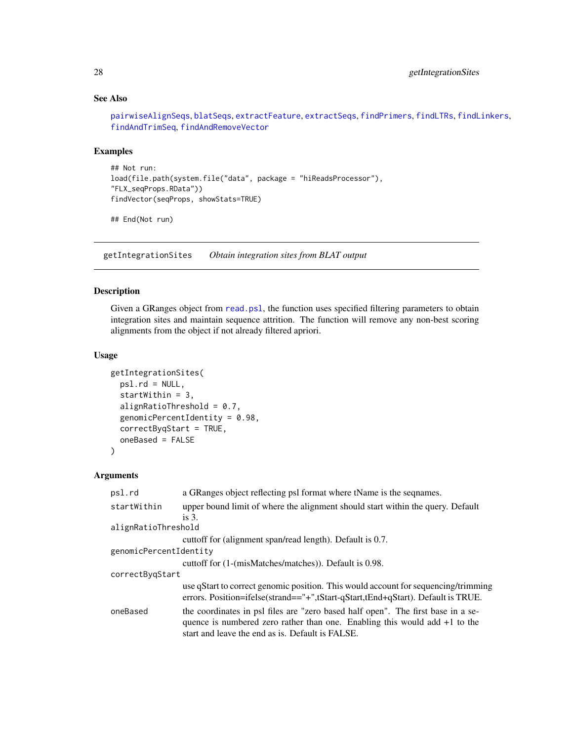### See Also

[pairwiseAlignSeqs](#page-34-1), [blatSeqs](#page-6-1), [extractFeature](#page-13-1), [extractSeqs](#page-14-1), [findPrimers](#page-24-1), [findLTRs](#page-23-1), [findLinkers](#page-21-1), [findAndTrimSeq](#page-16-1), [findAndRemoveVector](#page-15-1)

### Examples

```
## Not run:
load(file.path(system.file("data", package = "hiReadsProcessor"),
"FLX_seqProps.RData"))
findVector(seqProps, showStats=TRUE)
```
## End(Not run)

<span id="page-27-1"></span>getIntegrationSites *Obtain integration sites from BLAT output*

#### Description

Given a GRanges object from [read.psl](#page-42-1), the function uses specified filtering parameters to obtain integration sites and maintain sequence attrition. The function will remove any non-best scoring alignments from the object if not already filtered apriori.

### Usage

```
getIntegrationSites(
 psl.rd = NULL,
  startWithin = 3,
  alignRatioThreshold = 0.7,
  genomicPercentIdentity = 0.98,
  correctByqStart = TRUE,
  oneBased = FALSE
)
```

| psl.rd                 | a GRanges object reflecting psl format where tName is the sequames.                                                                                                                                                  |
|------------------------|----------------------------------------------------------------------------------------------------------------------------------------------------------------------------------------------------------------------|
| startWithin            | upper bound limit of where the alignment should start within the query. Default                                                                                                                                      |
|                        | is $31$                                                                                                                                                                                                              |
| alignRatioThreshold    |                                                                                                                                                                                                                      |
|                        | cuttoff for (alignment span/read length). Default is 0.7.                                                                                                                                                            |
| genomicPercentIdentity |                                                                                                                                                                                                                      |
|                        | cuttoff for (1-(misMatches/matches)). Default is 0.98.                                                                                                                                                               |
| correctBygStart        |                                                                                                                                                                                                                      |
|                        | use qStart to correct genomic position. This would account for sequencing/trimming<br>errors. Position=ifelse(strand=="+",tStart-qStart,tEnd+qStart). Default is TRUE.                                               |
| oneBased               | the coordinates in psl files are "zero based half open". The first base in a se-<br>quence is numbered zero rather than one. Enabling this would add $+1$ to the<br>start and leave the end as is. Default is FALSE. |

<span id="page-27-0"></span>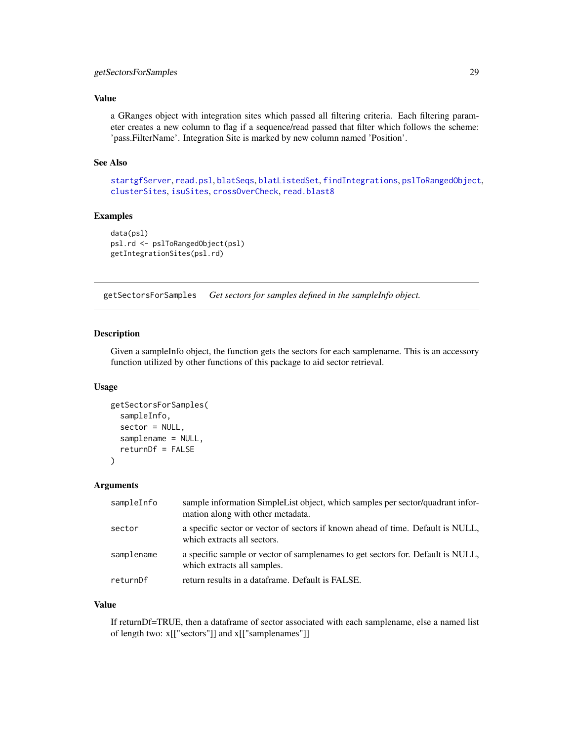### <span id="page-28-0"></span>getSectorsForSamples 29

### Value

a GRanges object with integration sites which passed all filtering criteria. Each filtering parameter creates a new column to flag if a sequence/read passed that filter which follows the scheme: 'pass.FilterName'. Integration Site is marked by new column named 'Position'.

#### See Also

[startgfServer](#page-52-1), [read.psl](#page-42-1), [blatSeqs](#page-6-1), [blatListedSet](#page-5-1), [findIntegrations](#page-19-1), [pslToRangedObject](#page-39-1), [clusterSites](#page-8-1), [isuSites](#page-30-1), [crossOverCheck](#page-10-1), [read.blast8](#page-41-1)

### Examples

```
data(psl)
psl.rd <- pslToRangedObject(psl)
getIntegrationSites(psl.rd)
```
<span id="page-28-1"></span>getSectorsForSamples *Get sectors for samples defined in the sampleInfo object.*

### Description

Given a sampleInfo object, the function gets the sectors for each samplename. This is an accessory function utilized by other functions of this package to aid sector retrieval.

#### Usage

```
getSectorsForSamples(
  sampleInfo,
  sector = NULL,samplename = NULL,
  returnDf = FALSE
)
```
### Arguments

| sampleInfo | sample information SimpleList object, which samples per sector/quadrant infor-<br>mation along with other metadata. |
|------------|---------------------------------------------------------------------------------------------------------------------|
| sector     | a specific sector or vector of sectors if known ahead of time. Default is NULL,<br>which extracts all sectors.      |
| samplename | a specific sample or vector of samplenames to get sectors for. Default is NULL,<br>which extracts all samples.      |
| returnDf   | return results in a dataframe. Default is FALSE.                                                                    |

#### Value

If returnDf=TRUE, then a dataframe of sector associated with each samplename, else a named list of length two: x[["sectors"]] and x[["samplenames"]]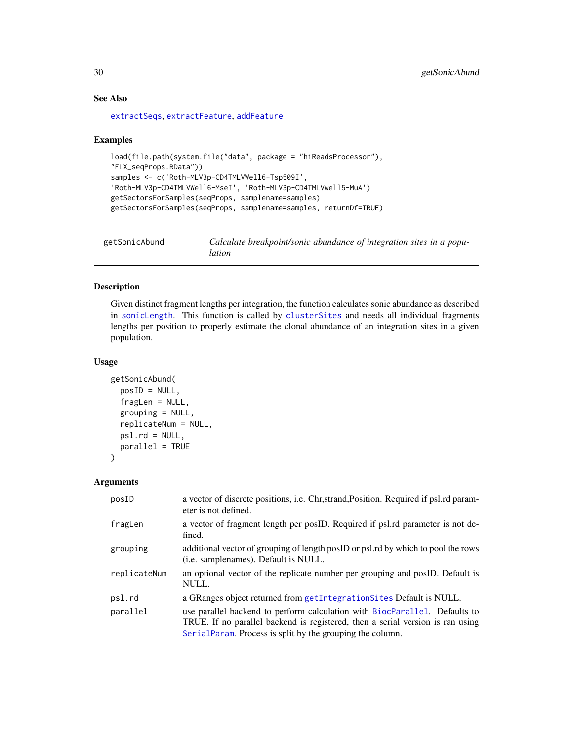### See Also

[extractSeqs](#page-14-1), [extractFeature](#page-13-1), [addFeature](#page-2-1)

#### Examples

```
load(file.path(system.file("data", package = "hiReadsProcessor"),
"FLX_seqProps.RData"))
samples <- c('Roth-MLV3p-CD4TMLVWell6-Tsp509I',
'Roth-MLV3p-CD4TMLVWell6-MseI', 'Roth-MLV3p-CD4TMLVwell5-MuA')
getSectorsForSamples(seqProps, samplename=samples)
getSectorsForSamples(seqProps, samplename=samples, returnDf=TRUE)
```

```
getSonicAbund Calculate breakpoint/sonic abundance of integration sites in a popu-
                        lation
```
#### Description

Given distinct fragment lengths per integration, the function calculates sonic abundance as described in [sonicLength](#page-0-0). This function is called by [clusterSites](#page-8-1) and needs all individual fragments lengths per position to properly estimate the clonal abundance of an integration sites in a given population.

### Usage

```
getSonicAbund(
  posID = NULL,
  fragLen = NULL,
  grouping = NULL,
  replicateNum = NULL,
  psl.rd = NULL,
  parallel = TRUE
\mathcal{L}
```

| posID        | a vector of discrete positions, i.e. Chr, strand, Position. Required if psl.rd param-<br>eter is not defined.                                                                                                             |
|--------------|---------------------------------------------------------------------------------------------------------------------------------------------------------------------------------------------------------------------------|
| fragLen      | a vector of fragment length per posID. Required if psl.rd parameter is not de-<br>fined.                                                                                                                                  |
| grouping     | additional vector of grouping of length postD or psl.rd by which to pool the rows<br>( <i>i.e.</i> samplenames). Default is NULL.                                                                                         |
| replicateNum | an optional vector of the replicate number per grouping and posID. Default is<br>NULL.                                                                                                                                    |
| psl.rd       | a GRanges object returned from getIntegration Sites Default is NULL.                                                                                                                                                      |
| parallel     | use parallel backend to perform calculation with BiocParallel. Defaults to<br>TRUE. If no parallel backend is registered, then a serial version is ran using<br>SerialParam. Process is split by the grouping the column. |

<span id="page-29-0"></span>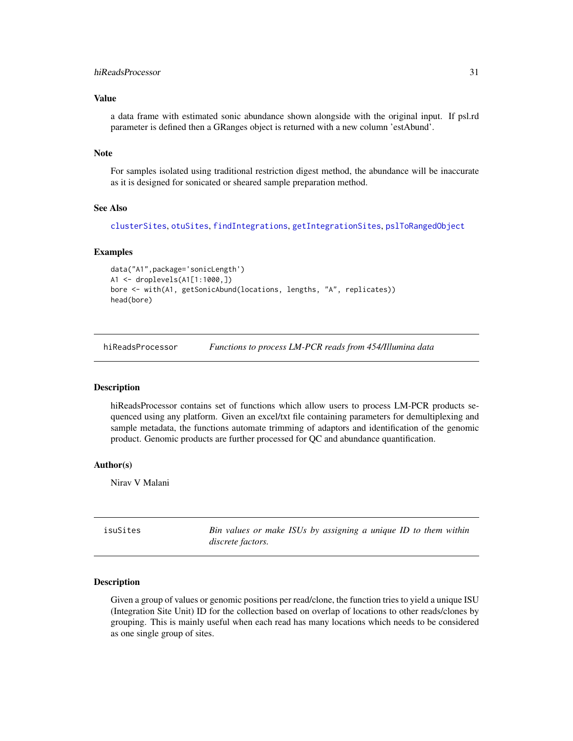### <span id="page-30-0"></span>hiReadsProcessor 31

### Value

a data frame with estimated sonic abundance shown alongside with the original input. If psl.rd parameter is defined then a GRanges object is returned with a new column 'estAbund'.

### Note

For samples isolated using traditional restriction digest method, the abundance will be inaccurate as it is designed for sonicated or sheared sample preparation method.

#### See Also

[clusterSites](#page-8-1), [otuSites](#page-32-1), [findIntegrations](#page-19-1), [getIntegrationSites](#page-27-1), [pslToRangedObject](#page-39-1)

#### Examples

```
data("A1",package='sonicLength')
A1 <- droplevels(A1[1:1000,])
bore <- with(A1, getSonicAbund(locations, lengths, "A", replicates))
head(bore)
```
hiReadsProcessor *Functions to process LM-PCR reads from 454/Illumina data*

#### **Description**

hiReadsProcessor contains set of functions which allow users to process LM-PCR products sequenced using any platform. Given an excel/txt file containing parameters for demultiplexing and sample metadata, the functions automate trimming of adaptors and identification of the genomic product. Genomic products are further processed for QC and abundance quantification.

#### Author(s)

Nirav V Malani

<span id="page-30-1"></span>isuSites *Bin values or make ISUs by assigning a unique ID to them within discrete factors.*

#### Description

Given a group of values or genomic positions per read/clone, the function tries to yield a unique ISU (Integration Site Unit) ID for the collection based on overlap of locations to other reads/clones by grouping. This is mainly useful when each read has many locations which needs to be considered as one single group of sites.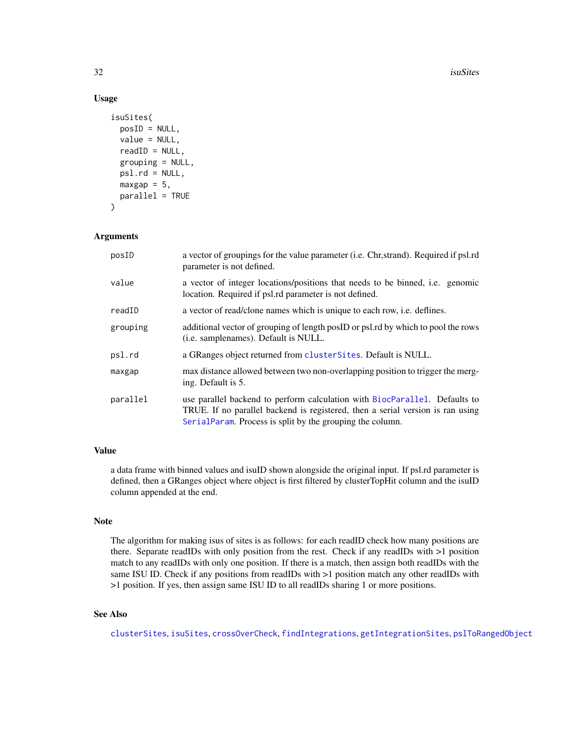#### 32 isuSites and the contract of the contract of the contract of the contract of the contract of the contract of the contract of the contract of the contract of the contract of the contract of the contract of the contract o

### Usage

```
isuSites(
 posID = NULL,
 value = NULL,
 readID = NULL,grouping = NULL,
 psl.rd = NULL,maxgap = 5,
 parallel = TRUE
)
```
### Arguments

| posID    | a vector of groupings for the value parameter (i.e. Chr, strand). Required if psl.rd<br>parameter is not defined.                                                                                                         |
|----------|---------------------------------------------------------------------------------------------------------------------------------------------------------------------------------------------------------------------------|
| value    | a vector of integer locations/positions that needs to be binned, i.e. genomic<br>location. Required if psl.rd parameter is not defined.                                                                                   |
| readID   | a vector of read/clone names which is unique to each row, <i>i.e.</i> deflines.                                                                                                                                           |
| grouping | additional vector of grouping of length postD or psl.rd by which to pool the rows<br>( <i>i.e.</i> samplenames). Default is NULL.                                                                                         |
| psl.rd   | a GRanges object returned from cluster Sites. Default is NULL.                                                                                                                                                            |
| maxgap   | max distance allowed between two non-overlapping position to trigger the merg-<br>ing. Default is 5.                                                                                                                      |
| parallel | use parallel backend to perform calculation with BiocParallel. Defaults to<br>TRUE. If no parallel backend is registered, then a serial version is ran using<br>SerialParam. Process is split by the grouping the column. |

### Value

a data frame with binned values and isuID shown alongside the original input. If psl.rd parameter is defined, then a GRanges object where object is first filtered by clusterTopHit column and the isuID column appended at the end.

### Note

The algorithm for making isus of sites is as follows: for each readID check how many positions are there. Separate readIDs with only position from the rest. Check if any readIDs with >1 position match to any readIDs with only one position. If there is a match, then assign both readIDs with the same ISU ID. Check if any positions from readIDs with  $>1$  position match any other readIDs with >1 position. If yes, then assign same ISU ID to all readIDs sharing 1 or more positions.

### See Also

[clusterSites](#page-8-1), [isuSites](#page-30-1), [crossOverCheck](#page-10-1), [findIntegrations](#page-19-1), [getIntegrationSites](#page-27-1), [pslToRangedObject](#page-39-1)

<span id="page-31-0"></span>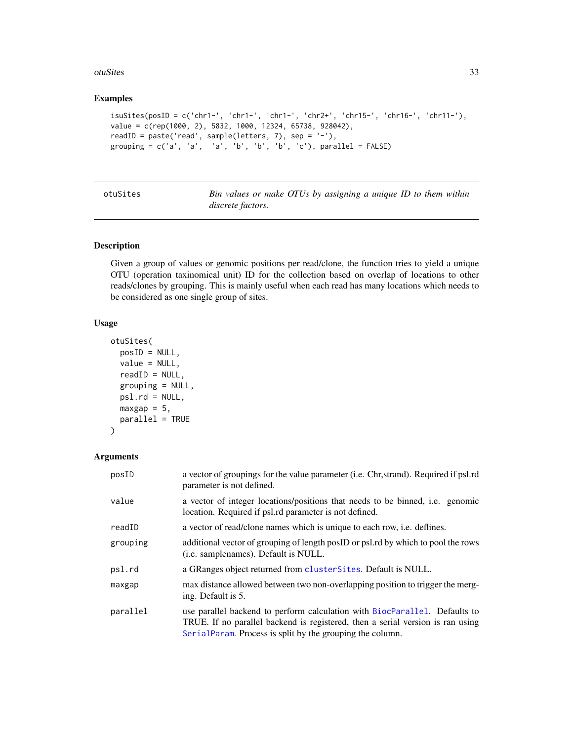#### <span id="page-32-0"></span>otuSites 33

#### Examples

```
isuStes(posID = c('chr1-', 'chr1-', 'chr1-', 'chr2+', 'chr15-', 'chr16-', 'chr11-'),value = c(rep(1000, 2), 5832, 1000, 12324, 65738, 928042),
readID = paste('read', sample(letters, 7), sep = '-'),
grouping = c('a', 'a', 'a', 'b', 'b', 'b', 'c'), parallel = FALSE)
```
<span id="page-32-1"></span>

| otuSites |  |
|----------|--|
|----------|--|

Bin values or make OTUs by assigning a unique ID to them within *discrete factors.*

### Description

Given a group of values or genomic positions per read/clone, the function tries to yield a unique OTU (operation taxinomical unit) ID for the collection based on overlap of locations to other reads/clones by grouping. This is mainly useful when each read has many locations which needs to be considered as one single group of sites.

### Usage

```
otuSites(
 posID = NULL,value = NULL,
  readID = NULL,grouping = NULL,
 psl.rd = NULL,maxgap = 5,
 parallel = TRUE
)
```

| posID    | a vector of groupings for the value parameter ( <i>i.e.</i> Chr, strand). Required if psl.rd<br>parameter is not defined.                                                                                                 |
|----------|---------------------------------------------------------------------------------------------------------------------------------------------------------------------------------------------------------------------------|
| value    | a vector of integer locations/positions that needs to be binned, i.e. genomic<br>location. Required if psl.rd parameter is not defined.                                                                                   |
| readID   | a vector of read/clone names which is unique to each row, <i>i.e.</i> deflines.                                                                                                                                           |
| grouping | additional vector of grouping of length postD or psl.rd by which to pool the rows<br>( <i>i.e.</i> samplenames). Default is NULL.                                                                                         |
| psl.rd   | a GRanges object returned from clusterSites. Default is NULL.                                                                                                                                                             |
| maxgap   | max distance allowed between two non-overlapping position to trigger the merg-<br>ing. Default is 5.                                                                                                                      |
| parallel | use parallel backend to perform calculation with BiocParallel. Defaults to<br>TRUE. If no parallel backend is registered, then a serial version is ran using<br>SerialParam. Process is split by the grouping the column. |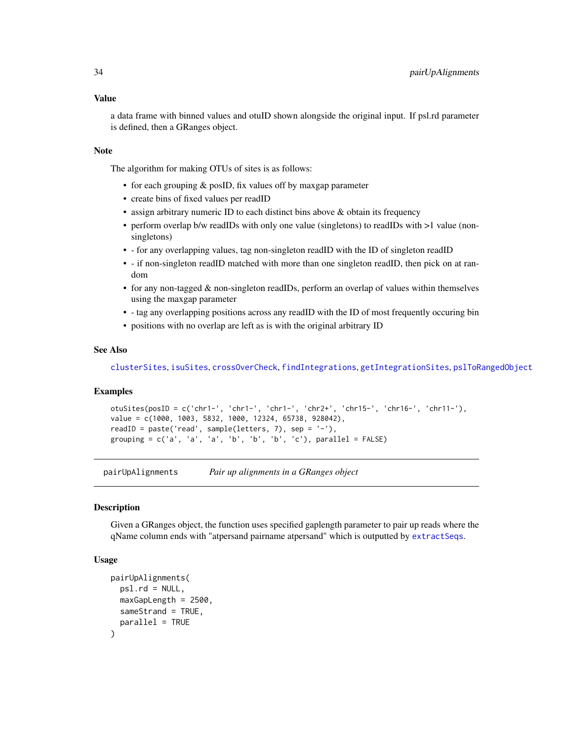### <span id="page-33-0"></span>Value

a data frame with binned values and otuID shown alongside the original input. If psl.rd parameter is defined, then a GRanges object.

#### Note

The algorithm for making OTUs of sites is as follows:

- for each grouping & posID, fix values off by maxgap parameter
- create bins of fixed values per readID
- assign arbitrary numeric ID to each distinct bins above & obtain its frequency
- perform overlap b/w readIDs with only one value (singletons) to readIDs with >1 value (nonsingletons)
- - for any overlapping values, tag non-singleton readID with the ID of singleton readID
- - if non-singleton readID matched with more than one singleton readID, then pick on at random
- for any non-tagged & non-singleton readIDs, perform an overlap of values within themselves using the maxgap parameter
- - tag any overlapping positions across any readID with the ID of most frequently occuring bin
- positions with no overlap are left as is with the original arbitrary ID

#### See Also

[clusterSites](#page-8-1), [isuSites](#page-30-1), [crossOverCheck](#page-10-1), [findIntegrations](#page-19-1), [getIntegrationSites](#page-27-1), [pslToRangedObject](#page-39-1)

### Examples

```
otuSites(posID = c('chr1-', 'chr1-', 'chr1-', 'chr2+', 'chr15-', 'chr16-', 'chr11-'),
value = c(1000, 1003, 5832, 1000, 12324, 65738, 928042),
readID = paste('read', sample(letters, 7), sep = '-'),
grouping = c('a', 'a', 'a', 'b', 'b', 'b', 'c'), parallel = FALSE)
```
<span id="page-33-1"></span>pairUpAlignments *Pair up alignments in a GRanges object*

### **Description**

Given a GRanges object, the function uses specified gaplength parameter to pair up reads where the qName column ends with "atpersand pairname atpersand" which is outputted by [extractSeqs](#page-14-1).

### Usage

```
pairUpAlignments(
 psl.rd = NULL,
 maxGapLength = 2500,
 sameStrand = TRUE,
  parallel = TRUE
)
```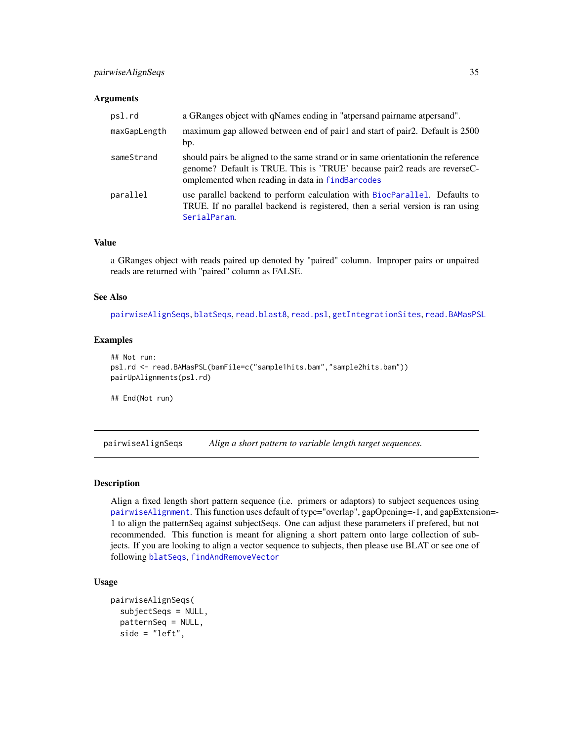### <span id="page-34-0"></span>pairwiseAlignSeqs 35

#### **Arguments**

| psl.rd       | a GRanges object with qNames ending in "atpersand pairname atpersand".                                                                                                                                              |
|--------------|---------------------------------------------------------------------------------------------------------------------------------------------------------------------------------------------------------------------|
| maxGapLength | maximum gap allowed between end of pair1 and start of pair2. Default is 2500<br>bp.                                                                                                                                 |
| sameStrand   | should pairs be aligned to the same strand or in same orientation in the reference<br>genome? Default is TRUE. This is 'TRUE' because pair2 reads are reverseC-<br>omplemented when reading in data in findBarcodes |
| parallel     | use parallel backend to perform calculation with BiocParallel. Defaults to<br>TRUE. If no parallel backend is registered, then a serial version is ran using<br>SerialParam.                                        |

### Value

a GRanges object with reads paired up denoted by "paired" column. Improper pairs or unpaired reads are returned with "paired" column as FALSE.

#### See Also

[pairwiseAlignSeqs](#page-34-1), [blatSeqs](#page-6-1), [read.blast8](#page-41-1), [read.psl](#page-42-1), [getIntegrationSites](#page-27-1), [read.BAMasPSL](#page-40-1)

#### Examples

```
## Not run:
psl.rd <- read.BAMasPSL(bamFile=c("sample1hits.bam","sample2hits.bam"))
pairUpAlignments(psl.rd)
```
## End(Not run)

<span id="page-34-1"></span>pairwiseAlignSeqs *Align a short pattern to variable length target sequences.*

### Description

Align a fixed length short pattern sequence (i.e. primers or adaptors) to subject sequences using [pairwiseAlignment](#page-0-0). This function uses default of type="overlap", gapOpening=-1, and gapExtension=- 1 to align the patternSeq against subjectSeqs. One can adjust these parameters if prefered, but not recommended. This function is meant for aligning a short pattern onto large collection of subjects. If you are looking to align a vector sequence to subjects, then please use BLAT or see one of following [blatSeqs](#page-6-1), [findAndRemoveVector](#page-15-1)

#### Usage

```
pairwiseAlignSeqs(
  subjectSeqs = NULL,
  patternSeq = NULL,
  side = "left",
```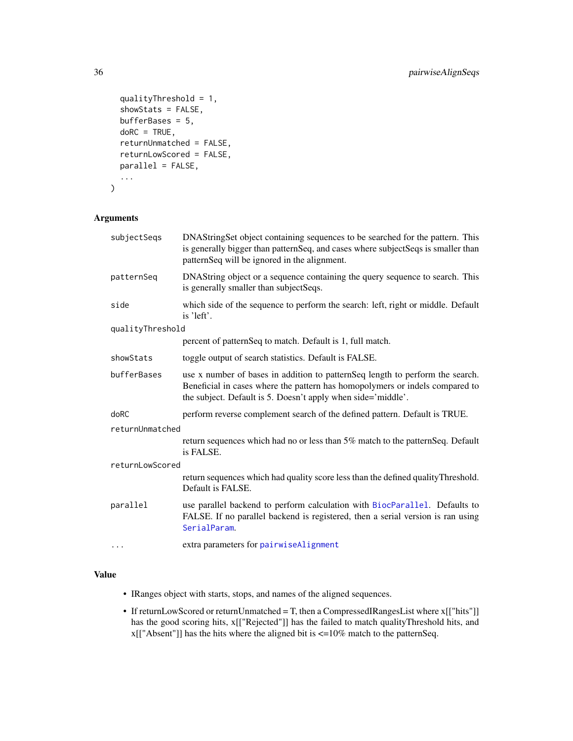```
qualityThreshold = 1,
showStats = FALSE,
bufferBases = 5,
doRC = TRUE,
returnUnmatched = FALSE,
returnLowScored = FALSE,
parallel = FALSE,
...
```
### Arguments

)

| subjectSeqs      | DNAStringSet object containing sequences to be searched for the pattern. This<br>is generally bigger than patternSeq, and cases where subjectSeqs is smaller than<br>patternSeq will be ignored in the alignment.             |  |
|------------------|-------------------------------------------------------------------------------------------------------------------------------------------------------------------------------------------------------------------------------|--|
| patternSeq       | DNAString object or a sequence containing the query sequence to search. This<br>is generally smaller than subjectSeqs.                                                                                                        |  |
| side             | which side of the sequence to perform the search: left, right or middle. Default<br>is 'left'.                                                                                                                                |  |
| qualityThreshold |                                                                                                                                                                                                                               |  |
|                  | percent of patternSeq to match. Default is 1, full match.                                                                                                                                                                     |  |
| showStats        | toggle output of search statistics. Default is FALSE.                                                                                                                                                                         |  |
| bufferBases      | use x number of bases in addition to patternSeq length to perform the search.<br>Beneficial in cases where the pattern has homopolymers or indels compared to<br>the subject. Default is 5. Doesn't apply when side='middle'. |  |
| doRC             | perform reverse complement search of the defined pattern. Default is TRUE.                                                                                                                                                    |  |
| returnUnmatched  |                                                                                                                                                                                                                               |  |
|                  | return sequences which had no or less than 5% match to the pattern Seq. Default<br>is FALSE.                                                                                                                                  |  |
| returnLowScored  |                                                                                                                                                                                                                               |  |
|                  | return sequences which had quality score less than the defined quality Threshold.<br>Default is FALSE.                                                                                                                        |  |
| parallel         | use parallel backend to perform calculation with BiocParallel. Defaults to<br>FALSE. If no parallel backend is registered, then a serial version is ran using<br>SerialParam.                                                 |  |
| $\cdots$         | extra parameters for pairwiseAlignment                                                                                                                                                                                        |  |

### Value

- IRanges object with starts, stops, and names of the aligned sequences.
- If returnLowScored or returnUnmatched = T, then a CompressedIRangesList where x[["hits"]] has the good scoring hits, x[["Rejected"]] has the failed to match qualityThreshold hits, and  $x[["Absent"]$  has the hits where the aligned bit is  $\leq$ =10% match to the patternSeq.

<span id="page-35-0"></span>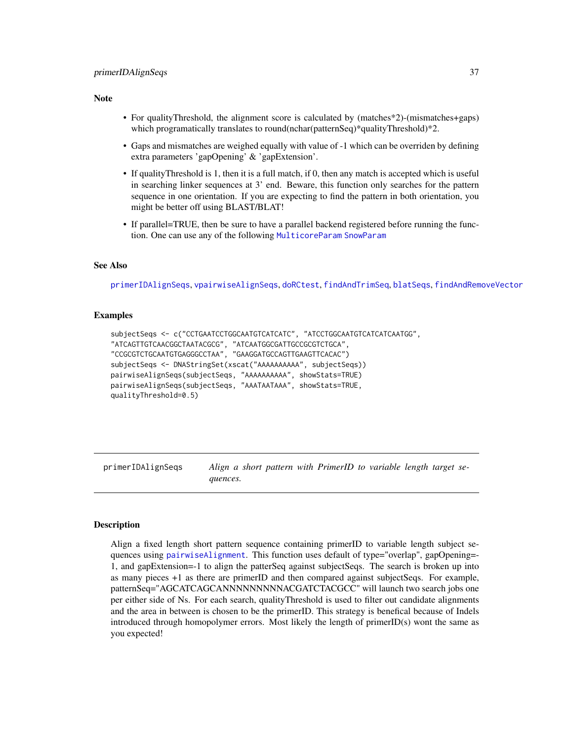#### <span id="page-36-0"></span>Note

- For qualityThreshold, the alignment score is calculated by (matches\*2)-(mismatches+gaps) which programatically translates to round(nchar(patternSeq)\*qualityThreshold)\*2.
- Gaps and mismatches are weighed equally with value of -1 which can be overriden by defining extra parameters 'gapOpening' & 'gapExtension'.
- If qualityThreshold is 1, then it is a full match, if 0, then any match is accepted which is useful in searching linker sequences at 3' end. Beware, this function only searches for the pattern sequence in one orientation. If you are expecting to find the pattern in both orientation, you might be better off using BLAST/BLAT!
- If parallel=TRUE, then be sure to have a parallel backend registered before running the function. One can use any of the following [MulticoreParam](#page-0-0) [SnowParam](#page-0-0)

#### See Also

[primerIDAlignSeqs](#page-36-1), [vpairwiseAlignSeqs](#page-55-1), [doRCtest](#page-12-1), [findAndTrimSeq](#page-16-1), [blatSeqs](#page-6-1), [findAndRemoveVector](#page-15-1)

#### Examples

```
subjectSeqs <- c("CCTGAATCCTGGCAATGTCATCATC", "ATCCTGGCAATGTCATCATCAATGG",
"ATCAGTTGTCAACGGCTAATACGCG", "ATCAATGGCGATTGCCGCGTCTGCA",
"CCGCGTCTGCAATGTGAGGGCCTAA", "GAAGGATGCCAGTTGAAGTTCACAC")
subjectSeqs <- DNAStringSet(xscat("AAAAAAAAAA", subjectSeqs))
pairwiseAlignSeqs(subjectSeqs, "AAAAAAAAAA", showStats=TRUE)
pairwiseAlignSeqs(subjectSeqs, "AAATAATAAA", showStats=TRUE,
qualityThreshold=0.5)
```
<span id="page-36-1"></span>primerIDAlignSeqs *Align a short pattern with PrimerID to variable length target sequences.*

### Description

Align a fixed length short pattern sequence containing primerID to variable length subject sequences using [pairwiseAlignment](#page-0-0). This function uses default of type="overlap", gapOpening=-1, and gapExtension=-1 to align the patterSeq against subjectSeqs. The search is broken up into as many pieces +1 as there are primerID and then compared against subjectSeqs. For example, patternSeq="AGCATCAGCANNNNNNNNNACGATCTACGCC" will launch two search jobs one per either side of Ns. For each search, qualityThreshold is used to filter out candidate alignments and the area in between is chosen to be the primerID. This strategy is benefical because of Indels introduced through homopolymer errors. Most likely the length of primerID(s) wont the same as you expected!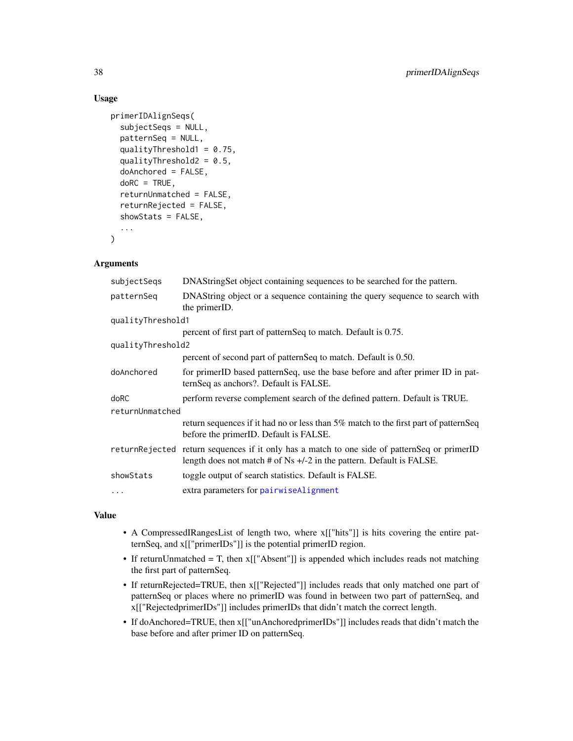### Usage

```
primerIDAlignSeqs(
  subjectSeqs = NULL,
  patternSeq = NULL,
  qualityThreshold1 = 0.75,
  qualityThreshold2 = 0.5,
  doAnchored = FALSE,
  doRC = TRUE,
  returnUnmatched = FALSE,
  returnRejected = FALSE,
  showStats = FALSE,
  ...
)
```
### Arguments

| subjectSeqs       | DNAStringSet object containing sequences to be searched for the pattern.                                                                                               |  |
|-------------------|------------------------------------------------------------------------------------------------------------------------------------------------------------------------|--|
| patternSeq        | DNAString object or a sequence containing the query sequence to search with<br>the primerID.                                                                           |  |
| qualityThreshold1 |                                                                                                                                                                        |  |
|                   | percent of first part of patternSeq to match. Default is 0.75.                                                                                                         |  |
| qualityThreshold2 |                                                                                                                                                                        |  |
|                   | percent of second part of patternSeq to match. Default is 0.50.                                                                                                        |  |
| doAnchored        | for primerID based patternSeq, use the base before and after primer ID in pat-<br>ternSeq as anchors?. Default is FALSE.                                               |  |
| doRC              | perform reverse complement search of the defined pattern. Default is TRUE.                                                                                             |  |
| returnUnmatched   |                                                                                                                                                                        |  |
|                   | return sequences if it had no or less than 5% match to the first part of patternSeq<br>before the primerID. Default is FALSE.                                          |  |
|                   | returnRejected return sequences if it only has a match to one side of patternSeq or primerID<br>length does not match # of Ns $+/-2$ in the pattern. Default is FALSE. |  |
| showStats         | toggle output of search statistics. Default is FALSE.                                                                                                                  |  |
| $\cdots$          | extra parameters for pairwiseAlignment                                                                                                                                 |  |

### Value

- A CompressedIRangesList of length two, where x[["hits"]] is hits covering the entire patternSeq, and x[["primerIDs"]] is the potential primerID region.
- If returnUnmatched = T, then x[["Absent"]] is appended which includes reads not matching the first part of patternSeq.
- If returnRejected=TRUE, then x[["Rejected"]] includes reads that only matched one part of patternSeq or places where no primerID was found in between two part of patternSeq, and x[["RejectedprimerIDs"]] includes primerIDs that didn't match the correct length.
- If doAnchored=TRUE, then x[["unAnchoredprimerIDs"]] includes reads that didn't match the base before and after primer ID on patternSeq.

<span id="page-37-0"></span>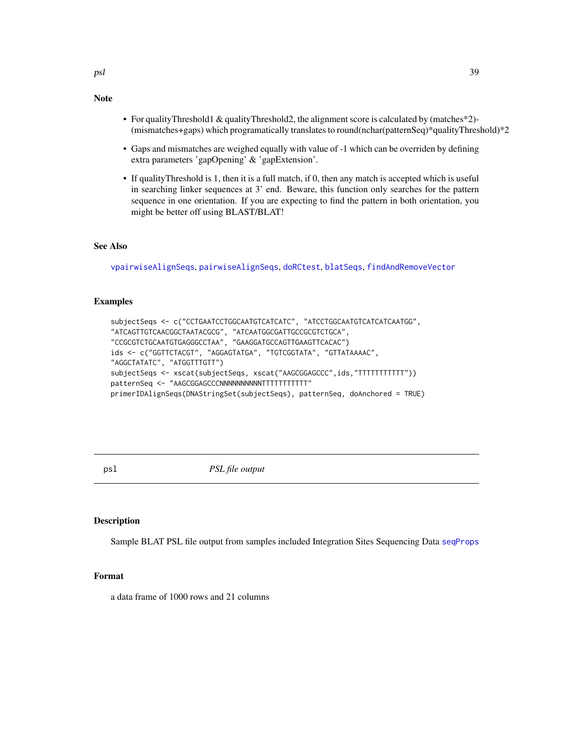### • For qualityThreshold1 & qualityThreshold2, the alignment score is calculated by (matches\*2)- (mismatches+gaps) which programatically translates to round(nchar(patternSeq)\*qualityThreshold)\*2

- Gaps and mismatches are weighed equally with value of -1 which can be overriden by defining extra parameters 'gapOpening' & 'gapExtension'.
- If qualityThreshold is 1, then it is a full match, if 0, then any match is accepted which is useful in searching linker sequences at 3' end. Beware, this function only searches for the pattern sequence in one orientation. If you are expecting to find the pattern in both orientation, you might be better off using BLAST/BLAT!

### See Also

<span id="page-38-0"></span>Note

[vpairwiseAlignSeqs](#page-55-1), [pairwiseAlignSeqs](#page-34-1), [doRCtest](#page-12-1), [blatSeqs](#page-6-1), [findAndRemoveVector](#page-15-1)

### Examples

```
subjectSeqs <- c("CCTGAATCCTGGCAATGTCATCATC", "ATCCTGGCAATGTCATCATCAATGG",
"ATCAGTTGTCAACGGCTAATACGCG", "ATCAATGGCGATTGCCGCGTCTGCA",
"CCGCGTCTGCAATGTGAGGGCCTAA", "GAAGGATGCCAGTTGAAGTTCACAC")
ids <- c("GGTTCTACGT", "AGGAGTATGA", "TGTCGGTATA", "GTTATAAAAC",
"AGGCTATATC", "ATGGTTTGTT")
subjectSeqs <- xscat(subjectSeqs, xscat("AAGCGGAGCCC",ids,"TTTTTTTTTTT"))
patternSeq <- "AAGCGGAGCCCNNNNNNNNNNNTTTTTTTTTT"
primerIDAlignSeqs(DNAStringSet(subjectSeqs), patternSeq, doAnchored = TRUE)
```
psl *PSL file output*

#### **Description**

Sample BLAT PSL file output from samples included Integration Sites Sequencing Data [seqProps](#page-49-1)

### Format

a data frame of 1000 rows and 21 columns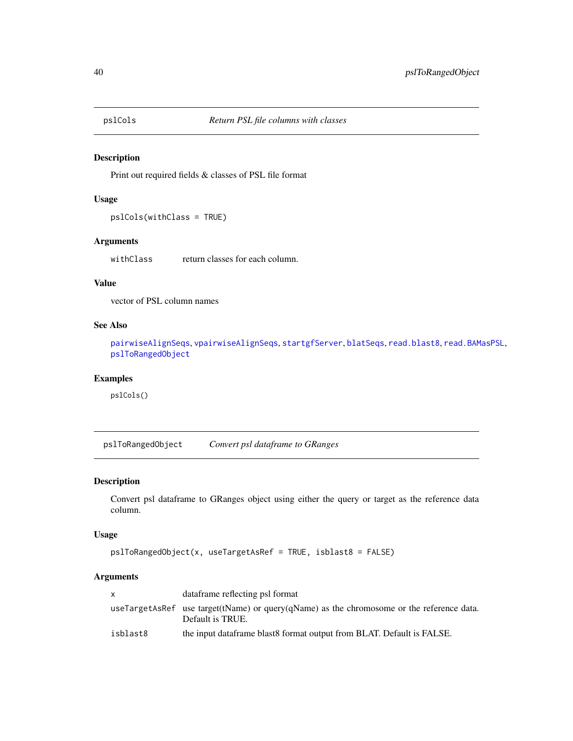<span id="page-39-2"></span><span id="page-39-0"></span>

Print out required fields & classes of PSL file format

### Usage

```
pslCols(withClass = TRUE)
```
### Arguments

withClass return classes for each column.

### Value

vector of PSL column names

### See Also

[pairwiseAlignSeqs](#page-34-1), [vpairwiseAlignSeqs](#page-55-1), [startgfServer](#page-52-1), [blatSeqs](#page-6-1), [read.blast8](#page-41-1), [read.BAMasPSL](#page-40-1), [pslToRangedObject](#page-39-1)

### Examples

pslCols()

<span id="page-39-1"></span>pslToRangedObject *Convert psl dataframe to GRanges*

### Description

Convert psl dataframe to GRanges object using either the query or target as the reference data column.

### Usage

```
pslToRangedObject(x, useTargetAsRef = TRUE, isblast8 = FALSE)
```

| x.       | dataframe reflecting psl format                                                                               |
|----------|---------------------------------------------------------------------------------------------------------------|
|          | useTargetAsRef use target(tName) or query(qName) as the chromosome or the reference data.<br>Default is TRUE. |
| isblast8 | the input data frame blast 8 format output from BLAT. Default is FALSE.                                       |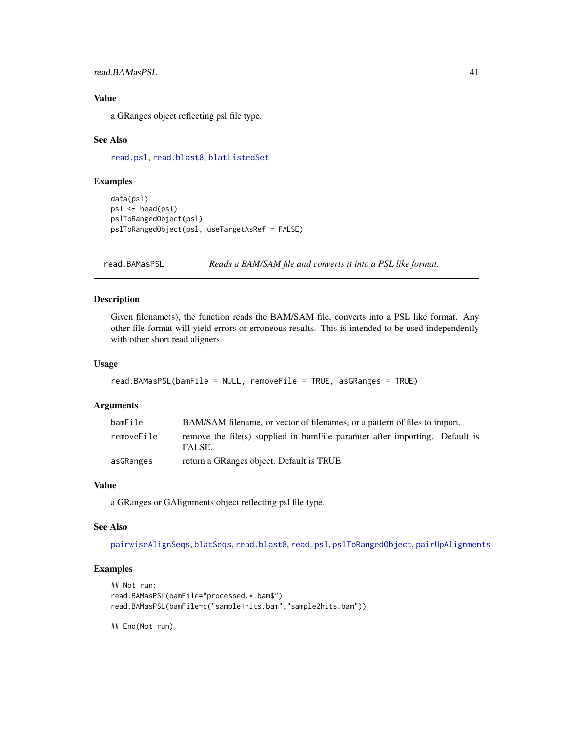### <span id="page-40-0"></span>read.BAMasPSL 41

### Value

a GRanges object reflecting psl file type.

#### See Also

[read.psl](#page-42-1), [read.blast8](#page-41-1), [blatListedSet](#page-5-1)

### Examples

```
data(psl)
psl <- head(psl)
pslToRangedObject(psl)
pslToRangedObject(psl, useTargetAsRef = FALSE)
```
<span id="page-40-1"></span>read.BAMasPSL *Reads a BAM/SAM file and converts it into a PSL like format.*

### Description

Given filename(s), the function reads the BAM/SAM file, converts into a PSL like format. Any other file format will yield errors or erroneous results. This is intended to be used independently with other short read aligners.

#### Usage

```
read.BAMasPSL(bamFile = NULL, removeFile = TRUE, asGRanges = TRUE)
```
#### Arguments

| bamFile    | BAM/SAM filename, or vector of filenames, or a pattern of files to import.            |  |  |
|------------|---------------------------------------------------------------------------------------|--|--|
| removeFile | remove the file(s) supplied in bamFile paramter after importing. Default is<br>FALSE. |  |  |
| asGRanges  | return a GRanges object. Default is TRUE                                              |  |  |

### Value

a GRanges or GAlignments object reflecting psl file type.

#### See Also

[pairwiseAlignSeqs](#page-34-1), [blatSeqs](#page-6-1), [read.blast8](#page-41-1), [read.psl](#page-42-1), [pslToRangedObject](#page-39-1), [pairUpAlignments](#page-33-1)

#### Examples

```
## Not run:
read.BAMasPSL(bamFile="processed.*.bam$")
read.BAMasPSL(bamFile=c("sample1hits.bam","sample2hits.bam"))
```
## End(Not run)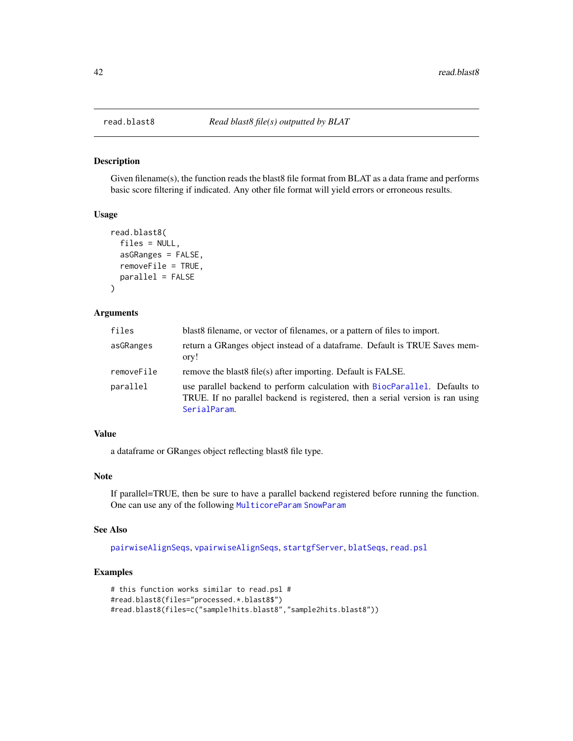Given filename(s), the function reads the blast8 file format from BLAT as a data frame and performs basic score filtering if indicated. Any other file format will yield errors or erroneous results.

#### Usage

```
read.blast8(
  files = NULL,
  asGRanges = FALSE,
  removeFile = TRUE,
 parallel = FALSE
)
```
#### Arguments

| files      | blast 8 filename, or vector of filenames, or a pattern of files to import.                                                                                                   |
|------------|------------------------------------------------------------------------------------------------------------------------------------------------------------------------------|
| asGRanges  | return a GRanges object instead of a data frame. Default is TRUE Saves mem-<br>ory!                                                                                          |
| removeFile | remove the blast of file (s) after importing. Default is FALSE.                                                                                                              |
| parallel   | use parallel backend to perform calculation with BiocParallel. Defaults to<br>TRUE. If no parallel backend is registered, then a serial version is ran using<br>SerialParam. |

### Value

a dataframe or GRanges object reflecting blast8 file type.

#### Note

If parallel=TRUE, then be sure to have a parallel backend registered before running the function. One can use any of the following [MulticoreParam](#page-0-0) [SnowParam](#page-0-0)

### See Also

[pairwiseAlignSeqs](#page-34-1), [vpairwiseAlignSeqs](#page-55-1), [startgfServer](#page-52-1), [blatSeqs](#page-6-1), [read.psl](#page-42-1)

```
# this function works similar to read.psl #
#read.blast8(files="processed.*.blast8$")
#read.blast8(files=c("sample1hits.blast8","sample2hits.blast8"))
```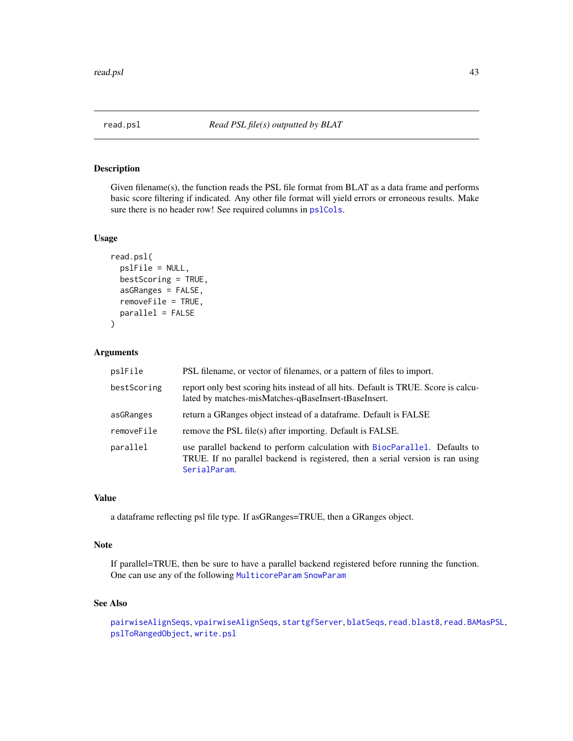<span id="page-42-1"></span><span id="page-42-0"></span>

Given filename(s), the function reads the PSL file format from BLAT as a data frame and performs basic score filtering if indicated. Any other file format will yield errors or erroneous results. Make sure there is no header row! See required columns in [pslCols](#page-39-2).

### Usage

```
read.psl(
  pslFile = NULL,
  bestScoring = TRUE,
  asGRanges = FALSE,
  removeFile = TRUE,
  parallel = FALSE
\mathcal{E}
```
#### Arguments

| pslFile     | PSL filename, or vector of filenames, or a pattern of files to import.                                                                                                       |
|-------------|------------------------------------------------------------------------------------------------------------------------------------------------------------------------------|
| bestScoring | report only best scoring hits instead of all hits. Default is TRUE. Score is calcu-<br>lated by matches-misMatches-qBaseInsert-tBaseInsert.                                  |
| asGRanges   | return a GRanges object instead of a dataframe. Default is FALSE                                                                                                             |
| removeFile  | remove the PSL file(s) after importing. Default is FALSE.                                                                                                                    |
| parallel    | use parallel backend to perform calculation with BiocParallel. Defaults to<br>TRUE. If no parallel backend is registered, then a serial version is ran using<br>SerialParam. |

### Value

a dataframe reflecting psl file type. If asGRanges=TRUE, then a GRanges object.

### Note

If parallel=TRUE, then be sure to have a parallel backend registered before running the function. One can use any of the following [MulticoreParam](#page-0-0) [SnowParam](#page-0-0)

### See Also

```
pairwiseAlignSeqs, vpairwiseAlignSeqs, startgfServer, blatSeqs, read.blast8, read.BAMasPSL,
pslToRangedObject, write.psl
```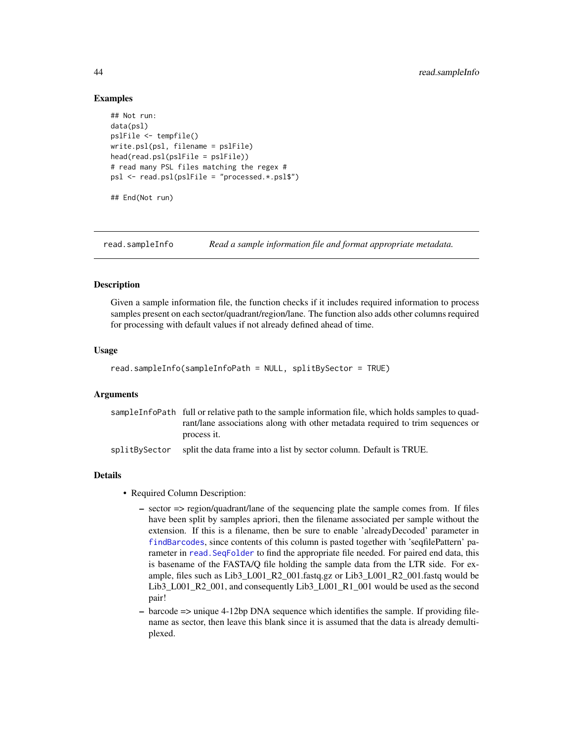#### Examples

```
## Not run:
data(psl)
pslFile <- tempfile()
write.psl(psl, filename = pslFile)
head(read.psl(pslFile = pslFile))
# read many PSL files matching the regex #
psl <- read.psl(pslFile = "processed.*.psl$")
## End(Not run)
```
<span id="page-43-1"></span>read.sampleInfo *Read a sample information file and format appropriate metadata.*

#### **Description**

Given a sample information file, the function checks if it includes required information to process samples present on each sector/quadrant/region/lane. The function also adds other columns required for processing with default values if not already defined ahead of time.

#### Usage

```
read.sampleInfo(sampleInfoPath = NULL, splitBySector = TRUE)
```
#### Arguments

|  | sampleInfoPath full or relative path to the sample information file, which holds samples to quad-                                                                                                                                                                                                                                                                                                                                                                                                    |
|--|------------------------------------------------------------------------------------------------------------------------------------------------------------------------------------------------------------------------------------------------------------------------------------------------------------------------------------------------------------------------------------------------------------------------------------------------------------------------------------------------------|
|  | rant/lane associations along with other metadata required to trim sequences or                                                                                                                                                                                                                                                                                                                                                                                                                       |
|  | process it.                                                                                                                                                                                                                                                                                                                                                                                                                                                                                          |
|  | B C L FRIDE<br>$\mathbf{1} \cdot \mathbf{1} \cdot \mathbf{1} \cdot \mathbf{1} \cdot \mathbf{1} \cdot \mathbf{1} \cdot \mathbf{1} \cdot \mathbf{1} \cdot \mathbf{1} \cdot \mathbf{1} \cdot \mathbf{1} \cdot \mathbf{1} \cdot \mathbf{1} \cdot \mathbf{1} \cdot \mathbf{1} \cdot \mathbf{1} \cdot \mathbf{1} \cdot \mathbf{1} \cdot \mathbf{1} \cdot \mathbf{1} \cdot \mathbf{1} \cdot \mathbf{1} \cdot \mathbf{1} \cdot \mathbf{1} \cdot \mathbf{1} \cdot \mathbf{1} \cdot \mathbf{1} \cdot \mathbf{$ |

```
splitBySector split the data frame into a list by sector column. Default is TRUE.
```
### Details

- Required Column Description:
	- sector => region/quadrant/lane of the sequencing plate the sample comes from. If files have been split by samples apriori, then the filename associated per sample without the extension. If this is a filename, then be sure to enable 'alreadyDecoded' parameter in [findBarcodes](#page-18-1), since contents of this column is pasted together with 'seqfilePattern' parameter in [read.SeqFolder](#page-45-1) to find the appropriate file needed. For paired end data, this is basename of the FASTA/Q file holding the sample data from the LTR side. For example, files such as Lib3\_L001\_R2\_001.fastq.gz or Lib3\_L001\_R2\_001.fastq would be Lib3\_L001\_R2\_001, and consequently Lib3\_L001\_R1\_001 would be used as the second pair!
	- barcode => unique 4-12bp DNA sequence which identifies the sample. If providing filename as sector, then leave this blank since it is assumed that the data is already demultiplexed.

<span id="page-43-0"></span>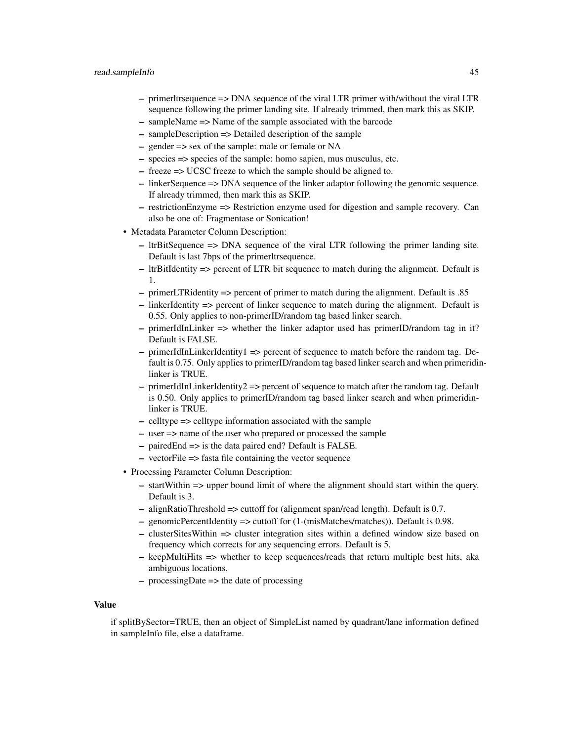- primerltrsequence => DNA sequence of the viral LTR primer with/without the viral LTR sequence following the primer landing site. If already trimmed, then mark this as SKIP.
- sampleName => Name of the sample associated with the barcode
- sampleDescription => Detailed description of the sample
- gender => sex of the sample: male or female or NA
- species => species of the sample: homo sapien, mus musculus, etc.
- freeze => UCSC freeze to which the sample should be aligned to.
- linkerSequence => DNA sequence of the linker adaptor following the genomic sequence. If already trimmed, then mark this as SKIP.
- restrictionEnzyme => Restriction enzyme used for digestion and sample recovery. Can also be one of: Fragmentase or Sonication!
- Metadata Parameter Column Description:
	- ltrBitSequence => DNA sequence of the viral LTR following the primer landing site. Default is last 7bps of the primerltrsequence.
	- ltrBitIdentity => percent of LTR bit sequence to match during the alignment. Default is 1.
	- primerLTRidentity => percent of primer to match during the alignment. Default is .85
	- linkerIdentity => percent of linker sequence to match during the alignment. Default is 0.55. Only applies to non-primerID/random tag based linker search.
	- $-$  primerIdInLinker  $\Rightarrow$  whether the linker adaptor used has primerID/random tag in it? Default is FALSE.
	- $-$  primerIdInLinkerIdentity1  $\Rightarrow$  percent of sequence to match before the random tag. Default is 0.75. Only applies to primerID/random tag based linker search and when primeridinlinker is TRUE.
	- primerIdInLinkerIdentity2 => percent of sequence to match after the random tag. Default is 0.50. Only applies to primerID/random tag based linker search and when primeridinlinker is TRUE.
	- celltype => celltype information associated with the sample
	- user => name of the user who prepared or processed the sample
	- pairedEnd => is the data paired end? Default is FALSE.
	- vectorFile => fasta file containing the vector sequence
- Processing Parameter Column Description:
	- startWithin => upper bound limit of where the alignment should start within the query. Default is 3.
	- alignRatioThreshold => cuttoff for (alignment span/read length). Default is 0.7.
	- genomicPercentIdentity => cuttoff for (1-(misMatches/matches)). Default is 0.98.
	- clusterSitesWithin => cluster integration sites within a defined window size based on frequency which corrects for any sequencing errors. Default is 5.
	- $-$  keepMultiHits  $\Rightarrow$  whether to keep sequences/reads that return multiple best hits, aka ambiguous locations.
	- processingDate => the date of processing

#### Value

if splitBySector=TRUE, then an object of SimpleList named by quadrant/lane information defined in sampleInfo file, else a dataframe.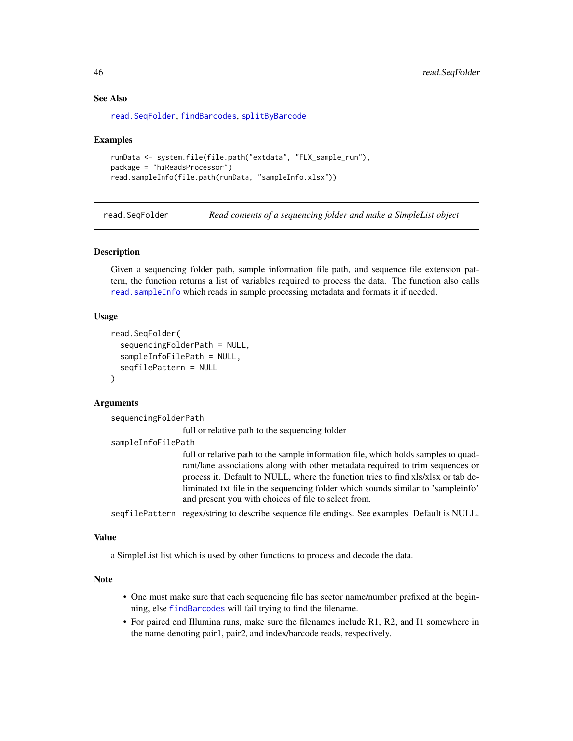#### <span id="page-45-0"></span>See Also

[read.SeqFolder](#page-45-1), [findBarcodes](#page-18-1), [splitByBarcode](#page-50-1)

#### Examples

```
runData <- system.file(file.path("extdata", "FLX_sample_run"),
package = "hiReadsProcessor")
read.sampleInfo(file.path(runData, "sampleInfo.xlsx"))
```
<span id="page-45-1"></span>read.SeqFolder *Read contents of a sequencing folder and make a SimpleList object*

### **Description**

Given a sequencing folder path, sample information file path, and sequence file extension pattern, the function returns a list of variables required to process the data. The function also calls [read.sampleInfo](#page-43-1) which reads in sample processing metadata and formats it if needed.

#### Usage

```
read.SeqFolder(
  sequencingFolderPath = NULL,
  sampleInfoFilePath = NULL,
  seqfilePattern = NULL
)
```
### Arguments

sequencingFolderPath

full or relative path to the sequencing folder

sampleInfoFilePath

full or relative path to the sample information file, which holds samples to quadrant/lane associations along with other metadata required to trim sequences or process it. Default to NULL, where the function tries to find xls/xlsx or tab deliminated txt file in the sequencing folder which sounds similar to 'sampleinfo' and present you with choices of file to select from.

seqfilePattern regex/string to describe sequence file endings. See examples. Default is NULL.

#### Value

a SimpleList list which is used by other functions to process and decode the data.

#### Note

- One must make sure that each sequencing file has sector name/number prefixed at the beginning, else [findBarcodes](#page-18-1) will fail trying to find the filename.
- For paired end Illumina runs, make sure the filenames include R1, R2, and I1 somewhere in the name denoting pair1, pair2, and index/barcode reads, respectively.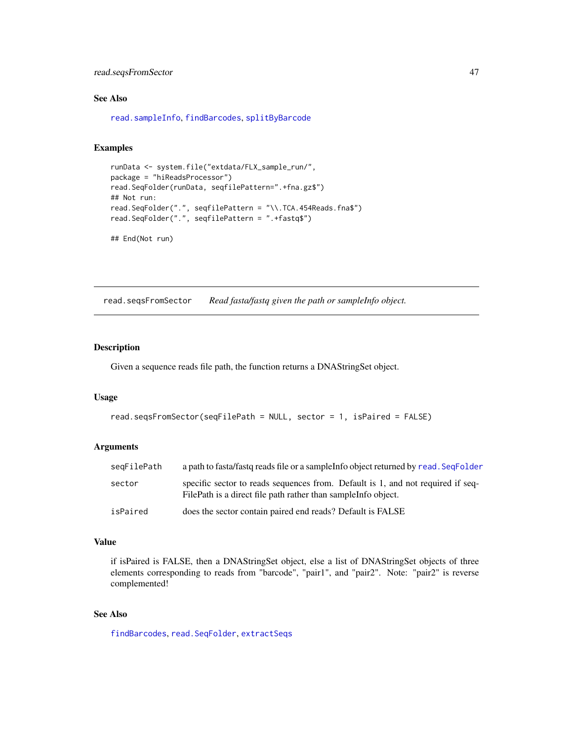### <span id="page-46-0"></span>read.seqsFromSector 47

### See Also

[read.sampleInfo](#page-43-1), [findBarcodes](#page-18-1), [splitByBarcode](#page-50-1)

#### Examples

```
runData <- system.file("extdata/FLX_sample_run/",
package = "hiReadsProcessor")
read.SeqFolder(runData, seqfilePattern=".+fna.gz$")
## Not run:
read.SeqFolder(".", seqfilePattern = "\\.TCA.454Reads.fna$")
read.SeqFolder(".", seqfilePattern = ".+fastq$")
## End(Not run)
```
<span id="page-46-1"></span>read.seqsFromSector *Read fasta/fastq given the path or sampleInfo object.*

### Description

Given a sequence reads file path, the function returns a DNAStringSet object.

#### Usage

```
read.seqsFromSector(seqFilePath = NULL, sector = 1, isPaired = FALSE)
```
#### Arguments

| seqFilePath | a path to fasta/fastq reads file or a sample info object returned by read. Seq Folder                                                             |
|-------------|---------------------------------------------------------------------------------------------------------------------------------------------------|
| sector      | specific sector to reads sequences from. Default is 1, and not required if seq-<br>FilePath is a direct file path rather than sample Info object. |
| isPaired    | does the sector contain paired end reads? Default is FALSE                                                                                        |

#### Value

if isPaired is FALSE, then a DNAStringSet object, else a list of DNAStringSet objects of three elements corresponding to reads from "barcode", "pair1", and "pair2". Note: "pair2" is reverse complemented!

### See Also

[findBarcodes](#page-18-1), [read.SeqFolder](#page-45-1), [extractSeqs](#page-14-1)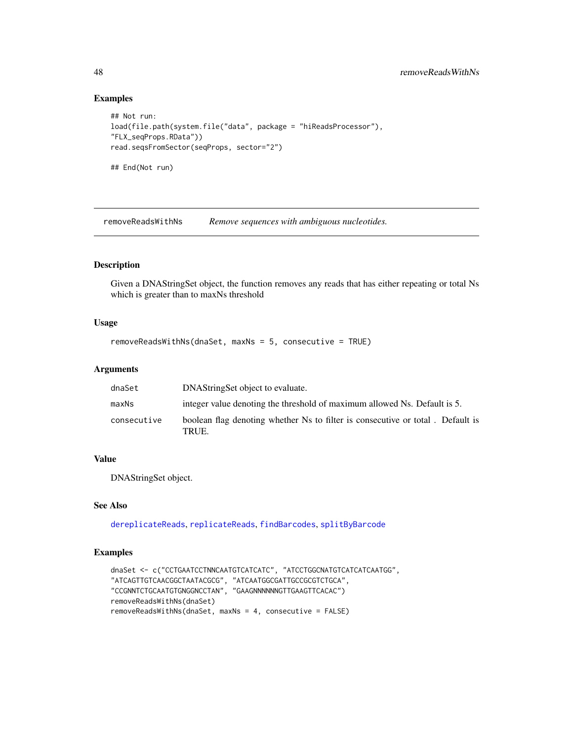### Examples

```
## Not run:
load(file.path(system.file("data", package = "hiReadsProcessor"),
"FLX_seqProps.RData"))
read.seqsFromSector(seqProps, sector="2")
## End(Not run)
```
<span id="page-47-1"></span>removeReadsWithNs *Remove sequences with ambiguous nucleotides.*

### Description

Given a DNAStringSet object, the function removes any reads that has either repeating or total Ns which is greater than to maxNs threshold

#### Usage

```
removeReadsWithNs(dnaSet, maxNs = 5, consecutive = TRUE)
```
### Arguments

| dnaSet      | DNAString Set object to evaluate.                                                       |
|-------------|-----------------------------------------------------------------------------------------|
| maxNs       | integer value denoting the threshold of maximum allowed Ns. Default is 5.               |
| consecutive | boolean flag denoting whether Ns to filter is consecutive or total. Default is<br>TRUE. |

### Value

DNAStringSet object.

#### See Also

[dereplicateReads](#page-11-1), [replicateReads](#page-48-1), [findBarcodes](#page-18-1), [splitByBarcode](#page-50-1)

```
dnaSet <- c("CCTGAATCCTNNCAATGTCATCATC", "ATCCTGGCNATGTCATCATCAATGG",
"ATCAGTTGTCAACGGCTAATACGCG", "ATCAATGGCGATTGCCGCGTCTGCA",
"CCGNNTCTGCAATGTGNGGNCCTAN", "GAAGNNNNNNGTTGAAGTTCACAC")
removeReadsWithNs(dnaSet)
removeReadsWithNs(dnaSet, maxNs = 4, consecutive = FALSE)
```
<span id="page-47-0"></span>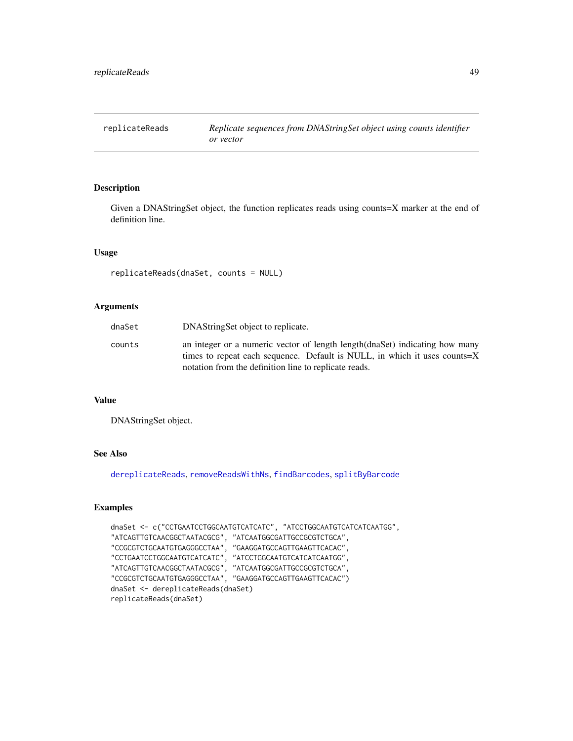<span id="page-48-1"></span><span id="page-48-0"></span>Given a DNAStringSet object, the function replicates reads using counts=X marker at the end of definition line.

### Usage

```
replicateReads(dnaSet, counts = NULL)
```
#### Arguments

| dnaSet | DNAString Set object to replicate.                                                                                                                                                                                 |
|--------|--------------------------------------------------------------------------------------------------------------------------------------------------------------------------------------------------------------------|
| counts | an integer or a numeric vector of length length (dnaSet) indicating how many<br>times to repeat each sequence. Default is NULL, in which it uses counts=X<br>notation from the definition line to replicate reads. |

### Value

DNAStringSet object.

### See Also

[dereplicateReads](#page-11-1), [removeReadsWithNs](#page-47-1), [findBarcodes](#page-18-1), [splitByBarcode](#page-50-1)

```
dnaSet <- c("CCTGAATCCTGGCAATGTCATCATC", "ATCCTGGCAATGTCATCATCAATGG",
"ATCAGTTGTCAACGGCTAATACGCG", "ATCAATGGCGATTGCCGCGTCTGCA",
"CCGCGTCTGCAATGTGAGGGCCTAA", "GAAGGATGCCAGTTGAAGTTCACAC",
"CCTGAATCCTGGCAATGTCATCATC", "ATCCTGGCAATGTCATCATCAATGG",
"ATCAGTTGTCAACGGCTAATACGCG", "ATCAATGGCGATTGCCGCGTCTGCA",
"CCGCGTCTGCAATGTGAGGGCCTAA", "GAAGGATGCCAGTTGAAGTTCACAC")
dnaSet <- dereplicateReads(dnaSet)
replicateReads(dnaSet)
```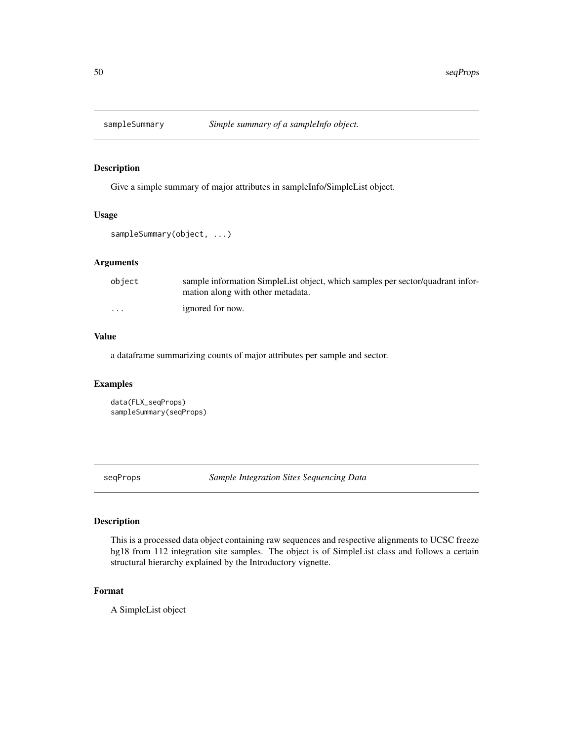<span id="page-49-0"></span>

Give a simple summary of major attributes in sampleInfo/SimpleList object.

### Usage

sampleSummary(object, ...)

### Arguments

| object                  | sample information SimpleList object, which samples per sector/quadrant infor-<br>mation along with other metadata. |
|-------------------------|---------------------------------------------------------------------------------------------------------------------|
| $\cdot$ $\cdot$ $\cdot$ | ignored for now.                                                                                                    |

### Value

a dataframe summarizing counts of major attributes per sample and sector.

### Examples

```
data(FLX_seqProps)
sampleSummary(seqProps)
```
<span id="page-49-1"></span>seqProps *Sample Integration Sites Sequencing Data*

### Description

This is a processed data object containing raw sequences and respective alignments to UCSC freeze hg18 from 112 integration site samples. The object is of SimpleList class and follows a certain structural hierarchy explained by the Introductory vignette.

#### Format

A SimpleList object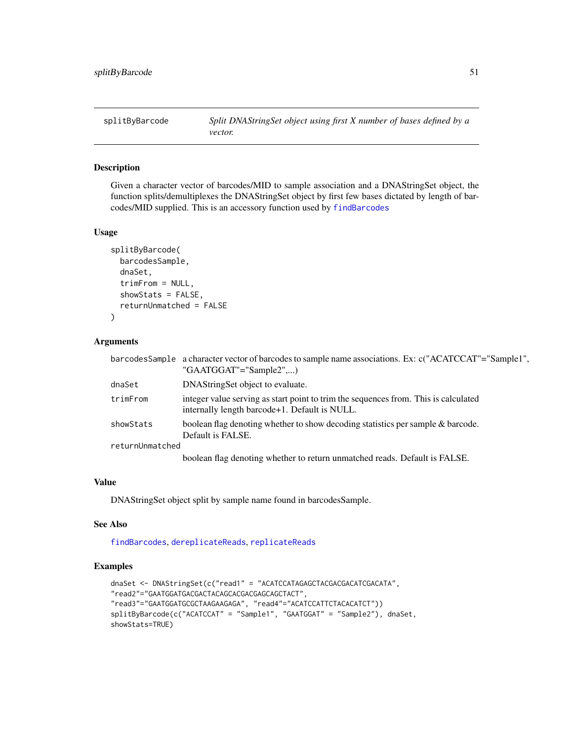<span id="page-50-1"></span><span id="page-50-0"></span>

Given a character vector of barcodes/MID to sample association and a DNAStringSet object, the function splits/demultiplexes the DNAStringSet object by first few bases dictated by length of barcodes/MID supplied. This is an accessory function used by [findBarcodes](#page-18-1)

#### Usage

```
splitByBarcode(
 barcodesSample,
  dnaSet,
  trimFrom = NULL,
  showStats = FALSE,
  returnUnmatched = FALSE
)
```
### Arguments

|                 | barcodes Sample a character vector of barcodes to sample name associations. Ex: c("ACATCCAT"="Sample1",<br>"GAATGGAT"="Sample2",)    |
|-----------------|--------------------------------------------------------------------------------------------------------------------------------------|
| dnaSet          | DNAString Set object to evaluate.                                                                                                    |
| trimFrom        | integer value serving as start point to trim the sequences from. This is calculated<br>internally length barcode+1. Default is NULL. |
| showStats       | boolean flag denoting whether to show decoding statistics per sample & barcode.<br>Default is FALSE.                                 |
| returnUnmatched |                                                                                                                                      |
|                 | boolean flag denoting whether to return unmatched reads. Default is FALSE.                                                           |
|                 |                                                                                                                                      |

### Value

DNAStringSet object split by sample name found in barcodesSample.

#### See Also

[findBarcodes](#page-18-1), [dereplicateReads](#page-11-1), [replicateReads](#page-48-1)

```
dnaSet <- DNAStringSet(c("read1" = "ACATCCATAGAGCTACGACGACATCGACATA",
"read2"="GAATGGATGACGACTACAGCACGACGAGCAGCTACT",
"read3"="GAATGGATGCGCTAAGAAGAGA", "read4"="ACATCCATTCTACACATCT"))
splitByBarcode(c("ACATCCAT" = "Sample1", "GAATGGAT" = "Sample2"), dnaSet,
showStats=TRUE)
```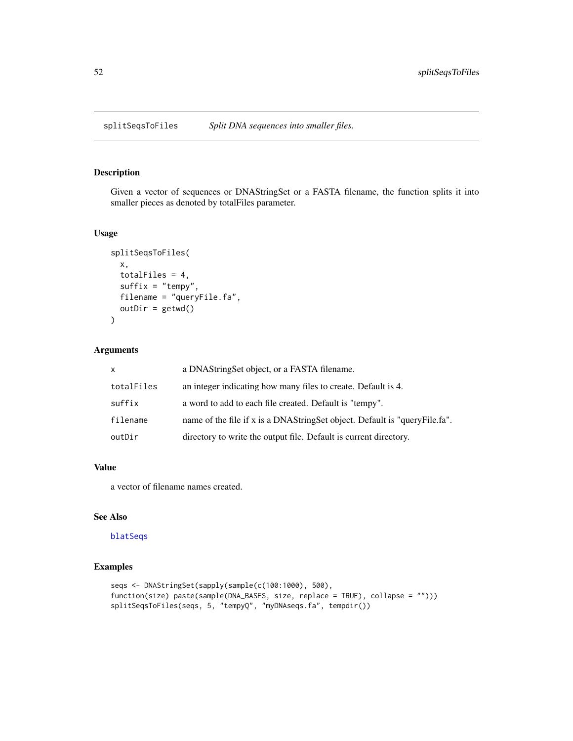<span id="page-51-1"></span><span id="page-51-0"></span>

Given a vector of sequences or DNAStringSet or a FASTA filename, the function splits it into smaller pieces as denoted by totalFiles parameter.

### Usage

```
splitSeqsToFiles(
  x,
  totalFiles = 4,
  suffix = "tempy",
  filename = "queryFile.fa",
  outDir = getwd()
\mathcal{L}
```
### Arguments

| X          | a DNAStringSet object, or a FASTA filename.                                |
|------------|----------------------------------------------------------------------------|
| totalFiles | an integer indicating how many files to create. Default is 4.              |
| suffix     | a word to add to each file created. Default is "tempy".                    |
| filename   | name of the file if x is a DNAStringSet object. Default is "queryFile.fa". |
| outDir     | directory to write the output file. Default is current directory.          |

#### Value

a vector of filename names created.

### See Also

#### [blatSeqs](#page-6-1)

```
seqs <- DNAStringSet(sapply(sample(c(100:1000), 500),
function(size) paste(sample(DNA_BASES, size, replace = TRUE), collapse = "")))
splitSeqsToFiles(seqs, 5, "tempyQ", "myDNAseqs.fa", tempdir())
```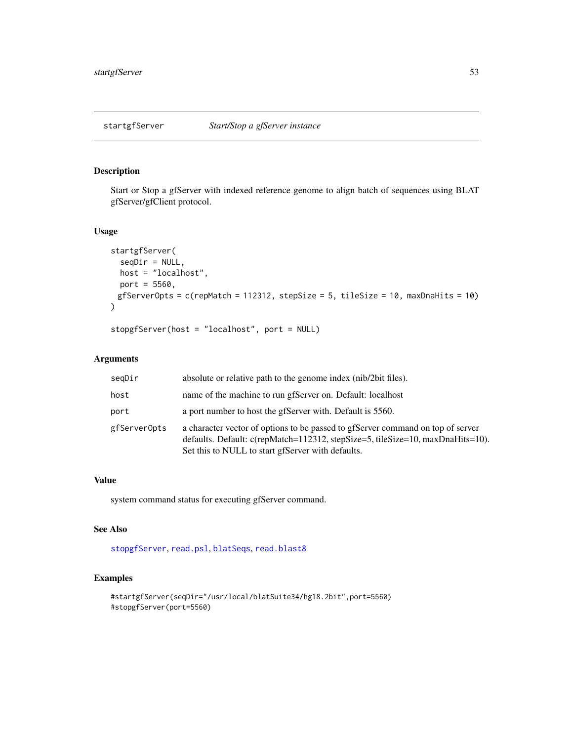<span id="page-52-2"></span><span id="page-52-1"></span><span id="page-52-0"></span>

Start or Stop a gfServer with indexed reference genome to align batch of sequences using BLAT gfServer/gfClient protocol.

### Usage

```
startgfServer(
  seqDir = NULL,
 host = "localhost",
 port = 5560,gfServerOpts = c(repMatch = 112312, stepSize = 5, tileSize = 10, maxDnaHits = 10)
\lambda
```
stopgfServer(host = "localhost", port = NULL)

### Arguments

| seqDir       | absolute or relative path to the genome index (nib/2bit files).                                                                                                                                                        |
|--------------|------------------------------------------------------------------------------------------------------------------------------------------------------------------------------------------------------------------------|
| host         | name of the machine to run gfServer on. Default: localhost                                                                                                                                                             |
| port         | a port number to host the gfServer with. Default is 5560.                                                                                                                                                              |
| gfServerOpts | a character vector of options to be passed to gfServer command on top of server<br>defaults. Default: c(repMatch=112312, stepSize=5, tileSize=10, maxDnaHits=10).<br>Set this to NULL to start gfServer with defaults. |

### Value

system command status for executing gfServer command.

### See Also

[stopgfServer](#page-52-2), [read.psl](#page-42-1), [blatSeqs](#page-6-1), [read.blast8](#page-41-1)

```
#startgfServer(seqDir="/usr/local/blatSuite34/hg18.2bit",port=5560)
#stopgfServer(port=5560)
```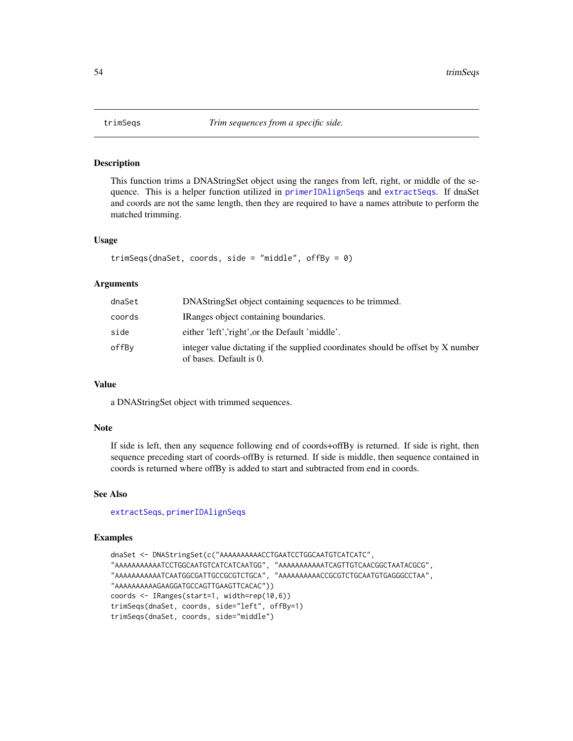<span id="page-53-1"></span><span id="page-53-0"></span>

This function trims a DNAStringSet object using the ranges from left, right, or middle of the sequence. This is a helper function utilized in [primerIDAlignSeqs](#page-36-1) and [extractSeqs](#page-14-1). If dnaSet and coords are not the same length, then they are required to have a names attribute to perform the matched trimming.

#### Usage

```
trimSeqs(dnaSet, coords, side = "middle", offBy = 0)
```
#### Arguments

| dnaSet | DNAStringSet object containing sequences to be trimmed.                                                     |
|--------|-------------------------------------------------------------------------------------------------------------|
| coords | IRanges object containing boundaries.                                                                       |
| side   | either 'left', 'right', or the Default 'middle'.                                                            |
| offBv  | integer value dictating if the supplied coordinates should be offset by X number<br>of bases. Default is 0. |

### Value

a DNAStringSet object with trimmed sequences.

### Note

If side is left, then any sequence following end of coords+offBy is returned. If side is right, then sequence preceding start of coords-offBy is returned. If side is middle, then sequence contained in coords is returned where offBy is added to start and subtracted from end in coords.

#### See Also

[extractSeqs](#page-14-1), [primerIDAlignSeqs](#page-36-1)

```
dnaSet <- DNAStringSet(c("AAAAAAAAAACCTGAATCCTGGCAATGTCATCATC",
"AAAAAAAAAAATCCTGGCAATGTCATCATCAATGG", "AAAAAAAAAAATCAGTTGTCAACGGCTAATACGCG",
"AAAAAAAAAAATCAATGGCGATTGCCGCGTCTGCA", "AAAAAAAAAACCGCGTCTGCAATGTGAGGGCCTAA",
"AAAAAAAAAAGAAGGATGCCAGTTGAAGTTCACAC"))
coords <- IRanges(start=1, width=rep(10,6))
trimSeqs(dnaSet, coords, side="left", offBy=1)
trimSeqs(dnaSet, coords, side="middle")
```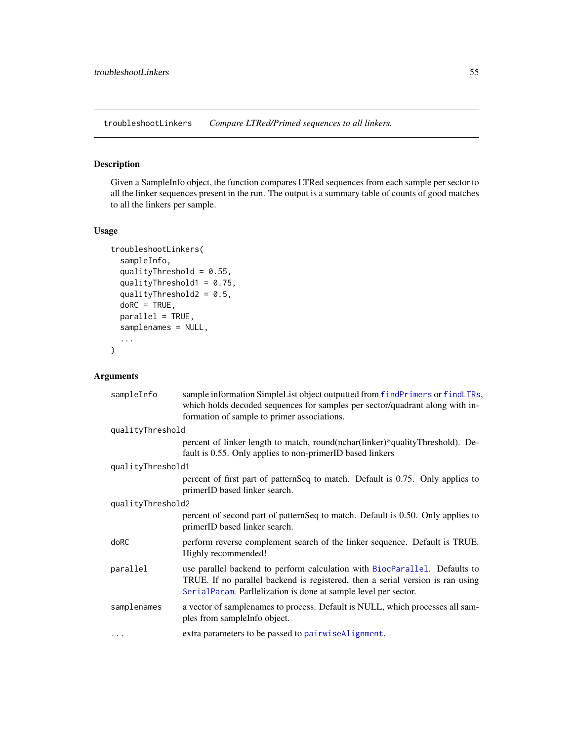<span id="page-54-0"></span>troubleshootLinkers *Compare LTRed/Primed sequences to all linkers.*

### Description

Given a SampleInfo object, the function compares LTRed sequences from each sample per sector to all the linker sequences present in the run. The output is a summary table of counts of good matches to all the linkers per sample.

### Usage

```
troubleshootLinkers(
  sampleInfo,
  qualityThreshold = 0.55,
  qualityThreshold1 = 0.75,
  qualityThreshold2 = 0.5,
  doRC = TRUE,
 parallel = TRUE,
  samplenames = NULL,
  ...
)
```

| sampleInfo        | sample information SimpleList object outputted from findPrimers or findLTRs,<br>which holds decoded sequences for samples per sector/quadrant along with in-<br>formation of sample to primer associations.                     |  |
|-------------------|---------------------------------------------------------------------------------------------------------------------------------------------------------------------------------------------------------------------------------|--|
| qualityThreshold  |                                                                                                                                                                                                                                 |  |
|                   | percent of linker length to match, round(nchar(linker)*qualityThreshold). De-<br>fault is 0.55. Only applies to non-primerID based linkers                                                                                      |  |
| qualityThreshold1 |                                                                                                                                                                                                                                 |  |
|                   | percent of first part of patternSeq to match. Default is 0.75. Only applies to<br>primerID based linker search.                                                                                                                 |  |
| qualityThreshold2 |                                                                                                                                                                                                                                 |  |
|                   | percent of second part of patternSeq to match. Default is 0.50. Only applies to<br>primerID based linker search.                                                                                                                |  |
| doRC              | perform reverse complement search of the linker sequence. Default is TRUE.<br>Highly recommended!                                                                                                                               |  |
| parallel          | use parallel backend to perform calculation with BiocParallel. Defaults to<br>TRUE. If no parallel backend is registered, then a serial version is ran using<br>SerialParam. Parllelization is done at sample level per sector. |  |
| samplenames       | a vector of samplenames to process. Default is NULL, which processes all sam-<br>ples from sample info object.                                                                                                                  |  |
| $\cdots$          | extra parameters to be passed to pairwiseAlignment.                                                                                                                                                                             |  |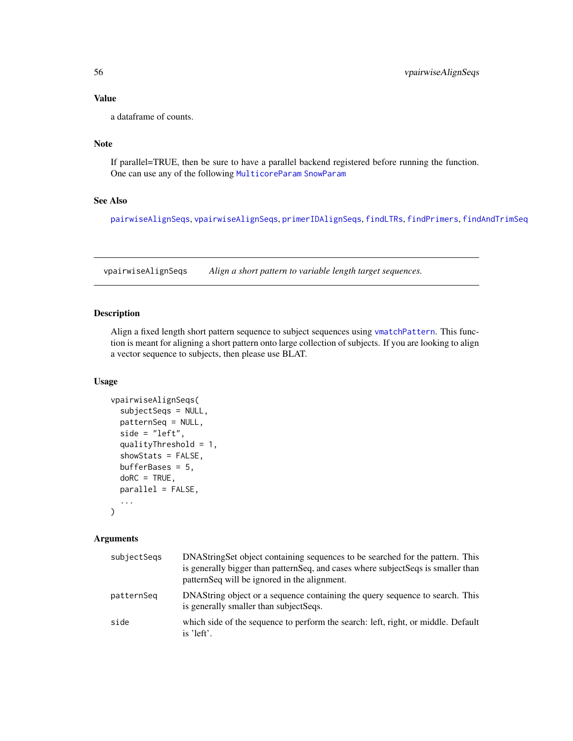### Value

a dataframe of counts.

### Note

If parallel=TRUE, then be sure to have a parallel backend registered before running the function. One can use any of the following [MulticoreParam](#page-0-0) [SnowParam](#page-0-0)

### See Also

[pairwiseAlignSeqs](#page-34-1), [vpairwiseAlignSeqs](#page-55-1), [primerIDAlignSeqs](#page-36-1), [findLTRs](#page-23-1), [findPrimers](#page-24-1), [findAndTrimSeq](#page-16-1)

<span id="page-55-1"></span>vpairwiseAlignSeqs *Align a short pattern to variable length target sequences.*

### Description

Align a fixed length short pattern sequence to subject sequences using [vmatchPattern](#page-0-0). This function is meant for aligning a short pattern onto large collection of subjects. If you are looking to align a vector sequence to subjects, then please use BLAT.

### Usage

```
vpairwiseAlignSeqs(
  subjectSeqs = NULL,
  patternSeq = NULL,
  side = "left",
  qualityThreshold = 1,
  showStats = FALSE,
  bufferBases = 5,
  doRC = TRUE,
  parallel = FALSE,
  ...
\lambda
```

| subjectSegs | DNAStringSet object containing sequences to be searched for the pattern. This<br>is generally bigger than pattern Seq, and cases where subject Seqs is smaller than<br>patternSeq will be ignored in the alignment. |
|-------------|---------------------------------------------------------------------------------------------------------------------------------------------------------------------------------------------------------------------|
| patternSeq  | DNAString object or a sequence containing the query sequence to search. This<br>is generally smaller than subject Seqs.                                                                                             |
| side        | which side of the sequence to perform the search: left, right, or middle. Default<br>is 'left'.                                                                                                                     |

<span id="page-55-0"></span>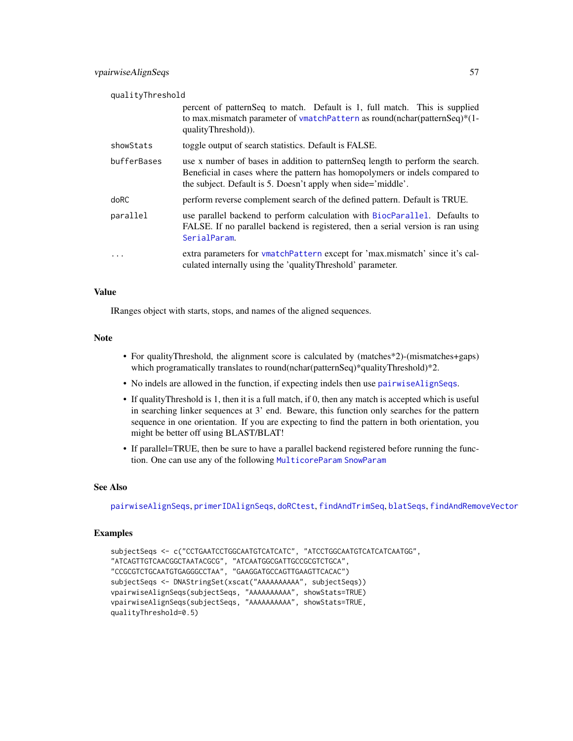<span id="page-56-0"></span>

| qualityThreshold |                                                                                                                                                                                                                                |  |
|------------------|--------------------------------------------------------------------------------------------------------------------------------------------------------------------------------------------------------------------------------|--|
|                  | percent of patternSeq to match. Default is 1, full match. This is supplied<br>to max.mismatch parameter of vmatchPattern as round(nchar(patternSeq)*(1-<br>qualityThreshold).                                                  |  |
| showStats        | toggle output of search statistics. Default is FALSE.                                                                                                                                                                          |  |
| bufferBases      | use x number of bases in addition to pattern Seq length to perform the search.<br>Beneficial in cases where the pattern has homopolymers or indels compared to<br>the subject. Default is 5. Doesn't apply when side='middle'. |  |
| doRC             | perform reverse complement search of the defined pattern. Default is TRUE.                                                                                                                                                     |  |
| parallel         | use parallel backend to perform calculation with BiocParallel. Defaults to<br>FALSE. If no parallel backend is registered, then a serial version is ran using<br>SerialParam.                                                  |  |
| .                | extra parameters for vmatchPattern except for 'max.mismatch' since it's cal-<br>culated internally using the 'qualityThreshold' parameter.                                                                                     |  |

#### Value

IRanges object with starts, stops, and names of the aligned sequences.

#### Note

- For qualityThreshold, the alignment score is calculated by (matches\*2)-(mismatches+gaps) which programatically translates to round(nchar(patternSeq)\*qualityThreshold)\*2.
- No indels are allowed in the function, if expecting indels then use [pairwiseAlignSeqs](#page-34-1).
- If qualityThreshold is 1, then it is a full match, if 0, then any match is accepted which is useful in searching linker sequences at 3' end. Beware, this function only searches for the pattern sequence in one orientation. If you are expecting to find the pattern in both orientation, you might be better off using BLAST/BLAT!
- If parallel=TRUE, then be sure to have a parallel backend registered before running the function. One can use any of the following [MulticoreParam](#page-0-0) [SnowParam](#page-0-0)

#### See Also

[pairwiseAlignSeqs](#page-34-1), [primerIDAlignSeqs](#page-36-1), [doRCtest](#page-12-1), [findAndTrimSeq](#page-16-1), [blatSeqs](#page-6-1), [findAndRemoveVector](#page-15-1)

```
subjectSeqs <- c("CCTGAATCCTGGCAATGTCATCATC", "ATCCTGGCAATGTCATCATCAATGG",
"ATCAGTTGTCAACGGCTAATACGCG", "ATCAATGGCGATTGCCGCGTCTGCA",
"CCGCGTCTGCAATGTGAGGGCCTAA", "GAAGGATGCCAGTTGAAGTTCACAC")
subjectSeqs <- DNAStringSet(xscat("AAAAAAAAAA", subjectSeqs))
vpairwiseAlignSeqs(subjectSeqs, "AAAAAAAAAA", showStats=TRUE)
vpairwiseAlignSeqs(subjectSeqs, "AAAAAAAAAA", showStats=TRUE,
qualityThreshold=0.5)
```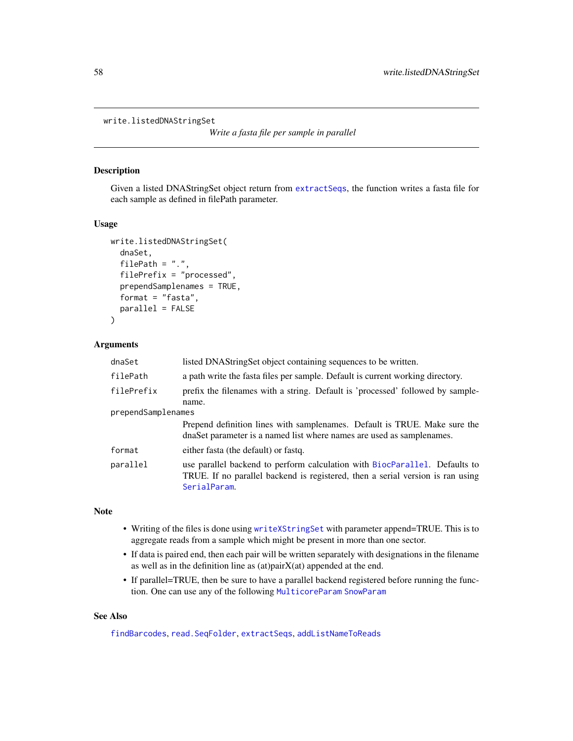```
write.listedDNAStringSet
```
*Write a fasta file per sample in parallel*

### Description

Given a listed DNAStringSet object return from [extractSeqs](#page-14-1), the function writes a fasta file for each sample as defined in filePath parameter.

#### Usage

```
write.listedDNAStringSet(
  dnaSet,
  filePath = "."filePrefix = "processed",
  prependSamplenames = TRUE,
  format = "fasta",
 parallel = FALSE
\mathcal{E}
```
### Arguments

| dnaSet             | listed DNAStringSet object containing sequences to be written.                                                                                                               |  |
|--------------------|------------------------------------------------------------------------------------------------------------------------------------------------------------------------------|--|
| filePath           | a path write the fasta files per sample. Default is current working directory.                                                                                               |  |
| filePrefix         | prefix the filenames with a string. Default is 'processed' followed by sample-<br>name.                                                                                      |  |
| prependSamplenames |                                                                                                                                                                              |  |
|                    | Prepend definition lines with samplenames. Default is TRUE. Make sure the<br>dnaSet parameter is a named list where names are used as samplenames.                           |  |
| format             | either fasta (the default) or fastq.                                                                                                                                         |  |
| parallel           | use parallel backend to perform calculation with BiocParallel. Defaults to<br>TRUE. If no parallel backend is registered, then a serial version is ran using<br>SerialParam. |  |

#### Note

- Writing of the files is done using [writeXStringSet](#page-0-0) with parameter append=TRUE. This is to aggregate reads from a sample which might be present in more than one sector.
- If data is paired end, then each pair will be written separately with designations in the filename as well as in the definition line as (at)pairX(at) appended at the end.
- If parallel=TRUE, then be sure to have a parallel backend registered before running the function. One can use any of the following [MulticoreParam](#page-0-0) [SnowParam](#page-0-0)

### See Also

[findBarcodes](#page-18-1), [read.SeqFolder](#page-45-1), [extractSeqs](#page-14-1), [addListNameToReads](#page-3-1)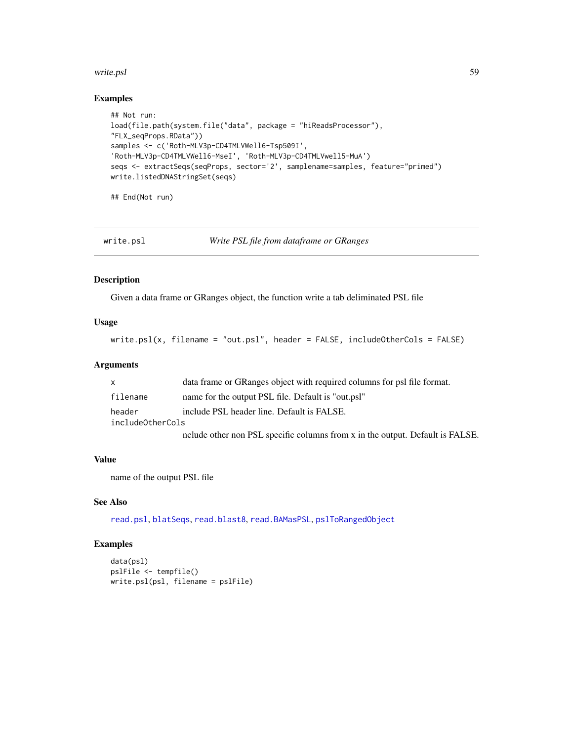#### <span id="page-58-0"></span>write.psl 59

### Examples

```
## Not run:
load(file.path(system.file("data", package = "hiReadsProcessor"),
"FLX_seqProps.RData"))
samples <- c('Roth-MLV3p-CD4TMLVWell6-Tsp509I',
'Roth-MLV3p-CD4TMLVWell6-MseI', 'Roth-MLV3p-CD4TMLVwell5-MuA')
seqs <- extractSeqs(seqProps, sector='2', samplename=samples, feature="primed")
write.listedDNAStringSet(seqs)
```
## End(Not run)

<span id="page-58-1"></span>

write.psl *Write PSL file from dataframe or GRanges*

#### Description

Given a data frame or GRanges object, the function write a tab deliminated PSL file

#### Usage

write.psl(x, filename = "out.psl", header = FALSE, includeOtherCols = FALSE)

### Arguments

| $\mathsf{x}$     | data frame or GRanges object with required columns for psl file format.       |  |
|------------------|-------------------------------------------------------------------------------|--|
| filename         | name for the output PSL file. Default is "out.psl"                            |  |
| header           | include PSL header line. Default is FALSE.                                    |  |
| includeOtherCols |                                                                               |  |
|                  | nclude other non PSL specific columns from x in the output. Default is FALSE. |  |

#### Value

name of the output PSL file

### See Also

[read.psl](#page-42-1), [blatSeqs](#page-6-1), [read.blast8](#page-41-1), [read.BAMasPSL](#page-40-1), [pslToRangedObject](#page-39-1)

```
data(psl)
pslFile <- tempfile()
write.psl(psl, filename = pslFile)
```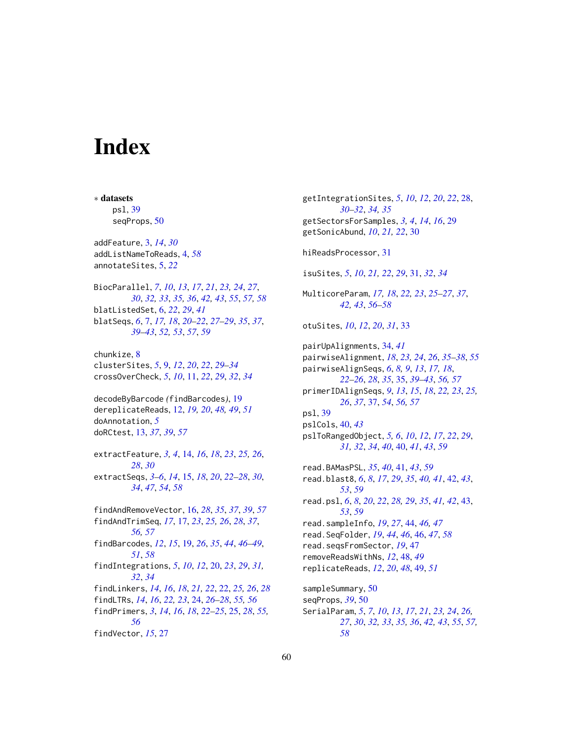# <span id="page-59-0"></span>**Index**

∗ datasets

psl, [39](#page-38-0) seqProps, [50](#page-49-0) addFeature, [3,](#page-2-0) *[14](#page-13-0)*, *[30](#page-29-0)* addListNameToReads, [4,](#page-3-0) *[58](#page-57-0)* annotateSites, [5,](#page-4-0) *[22](#page-21-0)* BiocParallel, *[7](#page-6-0)*, *[10](#page-9-0)*, *[13](#page-12-0)*, *[17](#page-16-0)*, *[21](#page-20-0)*, *[23,](#page-22-0) [24](#page-23-0)*, *[27](#page-26-0)*, *[30](#page-29-0)*, *[32,](#page-31-0) [33](#page-32-0)*, *[35,](#page-34-0) [36](#page-35-0)*, *[42,](#page-41-0) [43](#page-42-0)*, *[55](#page-54-0)*, *[57,](#page-56-0) [58](#page-57-0)* blatListedSet, [6,](#page-5-0) *[22](#page-21-0)*, *[29](#page-28-0)*, *[41](#page-40-0)* blatSeqs, *[6](#page-5-0)*, [7,](#page-6-0) *[17,](#page-16-0) [18](#page-17-0)*, *[20–](#page-19-0)[22](#page-21-0)*, *[27–](#page-26-0)[29](#page-28-0)*, *[35](#page-34-0)*, *[37](#page-36-0)*, *[39](#page-38-0)[–43](#page-42-0)*, *[52,](#page-51-0) [53](#page-52-0)*, *[57](#page-56-0)*, *[59](#page-58-0)* chunkize, [8](#page-7-0) clusterSites, *[5](#page-4-0)*, [9,](#page-8-0) *[12](#page-11-0)*, *[20](#page-19-0)*, *[22](#page-21-0)*, *[29–](#page-28-0)[34](#page-33-0)* crossOverCheck, *[5](#page-4-0)*, *[10](#page-9-0)*, [11,](#page-10-0) *[22](#page-21-0)*, *[29](#page-28-0)*, *[32](#page-31-0)*, *[34](#page-33-0)* decodeByBarcode *(*findBarcodes*)*, [19](#page-18-0) dereplicateReads, [12,](#page-11-0) *[19,](#page-18-0) [20](#page-19-0)*, *[48,](#page-47-0) [49](#page-48-0)*, *[51](#page-50-0)* doAnnotation, *[5](#page-4-0)* doRCtest, [13,](#page-12-0) *[37](#page-36-0)*, *[39](#page-38-0)*, *[57](#page-56-0)* extractFeature, *[3,](#page-2-0) [4](#page-3-0)*, [14,](#page-13-0) *[16](#page-15-0)*, *[18](#page-17-0)*, *[23](#page-22-0)*, *[25,](#page-24-0) [26](#page-25-0)*, *[28](#page-27-0)*, *[30](#page-29-0)* extractSeqs, *[3](#page-2-0)[–6](#page-5-0)*, *[14](#page-13-0)*, [15,](#page-14-0) *[18](#page-17-0)*, *[20](#page-19-0)*, *[22–](#page-21-0)[28](#page-27-0)*, *[30](#page-29-0)*, *[34](#page-33-0)*, *[47](#page-46-0)*, *[54](#page-53-0)*, *[58](#page-57-0)* findAndRemoveVector, [16,](#page-15-0) *[28](#page-27-0)*, *[35](#page-34-0)*, *[37](#page-36-0)*, *[39](#page-38-0)*, *[57](#page-56-0)* findAndTrimSeq, *[17](#page-16-0)*, [17,](#page-16-0) *[23](#page-22-0)*, *[25,](#page-24-0) [26](#page-25-0)*, *[28](#page-27-0)*, *[37](#page-36-0)*, *[56,](#page-55-0) [57](#page-56-0)* findBarcodes, *[12](#page-11-0)*, *[15](#page-14-0)*, [19,](#page-18-0) *[26](#page-25-0)*, *[35](#page-34-0)*, *[44](#page-43-0)*, *[46–](#page-45-0)[49](#page-48-0)*, *[51](#page-50-0)*, *[58](#page-57-0)* findIntegrations, *[5](#page-4-0)*, *[10](#page-9-0)*, *[12](#page-11-0)*, [20,](#page-19-0) *[23](#page-22-0)*, *[29](#page-28-0)*, *[31,](#page-30-0) [32](#page-31-0)*, *[34](#page-33-0)* findLinkers, *[14](#page-13-0)*, *[16](#page-15-0)*, *[18](#page-17-0)*, *[21,](#page-20-0) [22](#page-21-0)*, [22,](#page-21-0) *[25,](#page-24-0) [26](#page-25-0)*, *[28](#page-27-0)* findLTRs, *[14](#page-13-0)*, *[16](#page-15-0)*, *[22,](#page-21-0) [23](#page-22-0)*, [24,](#page-23-0) *[26–](#page-25-0)[28](#page-27-0)*, *[55,](#page-54-0) [56](#page-55-0)* findPrimers, *[3](#page-2-0)*, *[14](#page-13-0)*, *[16](#page-15-0)*, *[18](#page-17-0)*, *[22–](#page-21-0)[25](#page-24-0)*, [25,](#page-24-0) *[28](#page-27-0)*, *[55,](#page-54-0) [56](#page-55-0)* findVector, *[15](#page-14-0)*, [27](#page-26-0)

getIntegrationSites, *[5](#page-4-0)*, *[10](#page-9-0)*, *[12](#page-11-0)*, *[20](#page-19-0)*, *[22](#page-21-0)*, [28,](#page-27-0) *[30](#page-29-0)[–32](#page-31-0)*, *[34,](#page-33-0) [35](#page-34-0)* getSectorsForSamples, *[3,](#page-2-0) [4](#page-3-0)*, *[14](#page-13-0)*, *[16](#page-15-0)*, [29](#page-28-0) getSonicAbund, *[10](#page-9-0)*, *[21,](#page-20-0) [22](#page-21-0)*, [30](#page-29-0) hiReadsProcessor, [31](#page-30-0) isuSites, *[5](#page-4-0)*, *[10](#page-9-0)*, *[21,](#page-20-0) [22](#page-21-0)*, *[29](#page-28-0)*, [31,](#page-30-0) *[32](#page-31-0)*, *[34](#page-33-0)* MulticoreParam, *[17,](#page-16-0) [18](#page-17-0)*, *[22,](#page-21-0) [23](#page-22-0)*, *[25](#page-24-0)[–27](#page-26-0)*, *[37](#page-36-0)*, *[42,](#page-41-0) [43](#page-42-0)*, *[56](#page-55-0)[–58](#page-57-0)* otuSites, *[10](#page-9-0)*, *[12](#page-11-0)*, *[20](#page-19-0)*, *[31](#page-30-0)*, [33](#page-32-0) pairUpAlignments, [34,](#page-33-0) *[41](#page-40-0)* pairwiseAlignment, *[18](#page-17-0)*, *[23,](#page-22-0) [24](#page-23-0)*, *[26](#page-25-0)*, *[35](#page-34-0)[–38](#page-37-0)*, *[55](#page-54-0)* pairwiseAlignSeqs, *[6](#page-5-0)*, *[8,](#page-7-0) [9](#page-8-0)*, *[13](#page-12-0)*, *[17,](#page-16-0) [18](#page-17-0)*, *[22](#page-21-0)[–26](#page-25-0)*, *[28](#page-27-0)*, *[35](#page-34-0)*, [35,](#page-34-0) *[39](#page-38-0)[–43](#page-42-0)*, *[56,](#page-55-0) [57](#page-56-0)* primerIDAlignSeqs, *[9](#page-8-0)*, *[13](#page-12-0)*, *[15](#page-14-0)*, *[18](#page-17-0)*, *[22,](#page-21-0) [23](#page-22-0)*, *[25,](#page-24-0) [26](#page-25-0)*, *[37](#page-36-0)*, [37,](#page-36-0) *[54](#page-53-0)*, *[56,](#page-55-0) [57](#page-56-0)* psl, [39](#page-38-0) pslCols, [40,](#page-39-0) *[43](#page-42-0)* pslToRangedObject, *[5,](#page-4-0) [6](#page-5-0)*, *[10](#page-9-0)*, *[12](#page-11-0)*, *[17](#page-16-0)*, *[22](#page-21-0)*, *[29](#page-28-0)*, *[31,](#page-30-0) [32](#page-31-0)*, *[34](#page-33-0)*, *[40](#page-39-0)*, [40,](#page-39-0) *[41](#page-40-0)*, *[43](#page-42-0)*, *[59](#page-58-0)* read.BAMasPSL, *[35](#page-34-0)*, *[40](#page-39-0)*, [41,](#page-40-0) *[43](#page-42-0)*, *[59](#page-58-0)* read.blast8, *[6](#page-5-0)*, *[8](#page-7-0)*, *[17](#page-16-0)*, *[29](#page-28-0)*, *[35](#page-34-0)*, *[40,](#page-39-0) [41](#page-40-0)*, [42,](#page-41-0) *[43](#page-42-0)*, *[53](#page-52-0)*, *[59](#page-58-0)* read.psl, *[6](#page-5-0)*, *[8](#page-7-0)*, *[20](#page-19-0)*, *[22](#page-21-0)*, *[28,](#page-27-0) [29](#page-28-0)*, *[35](#page-34-0)*, *[41,](#page-40-0) [42](#page-41-0)*, [43,](#page-42-0) *[53](#page-52-0)*, *[59](#page-58-0)* read.sampleInfo, *[19](#page-18-0)*, *[27](#page-26-0)*, [44,](#page-43-0) *[46,](#page-45-0) [47](#page-46-0)* read.SeqFolder, *[19](#page-18-0)*, *[44](#page-43-0)*, *[46](#page-45-0)*, [46,](#page-45-0) *[47](#page-46-0)*, *[58](#page-57-0)* read.seqsFromSector, *[19](#page-18-0)*, [47](#page-46-0) removeReadsWithNs, *[12](#page-11-0)*, [48,](#page-47-0) *[49](#page-48-0)* replicateReads, *[12](#page-11-0)*, *[20](#page-19-0)*, *[48](#page-47-0)*, [49,](#page-48-0) *[51](#page-50-0)* sampleSummary, [50](#page-49-0) seqProps, *[39](#page-38-0)*, [50](#page-49-0) SerialParam, *[5](#page-4-0)*, *[7](#page-6-0)*, *[10](#page-9-0)*, *[13](#page-12-0)*, *[17](#page-16-0)*, *[21](#page-20-0)*, *[23,](#page-22-0) [24](#page-23-0)*, *[26,](#page-25-0) [27](#page-26-0)*, *[30](#page-29-0)*, *[32,](#page-31-0) [33](#page-32-0)*, *[35,](#page-34-0) [36](#page-35-0)*, *[42,](#page-41-0) [43](#page-42-0)*, *[55](#page-54-0)*, *[57,](#page-56-0)*

*[58](#page-57-0)*